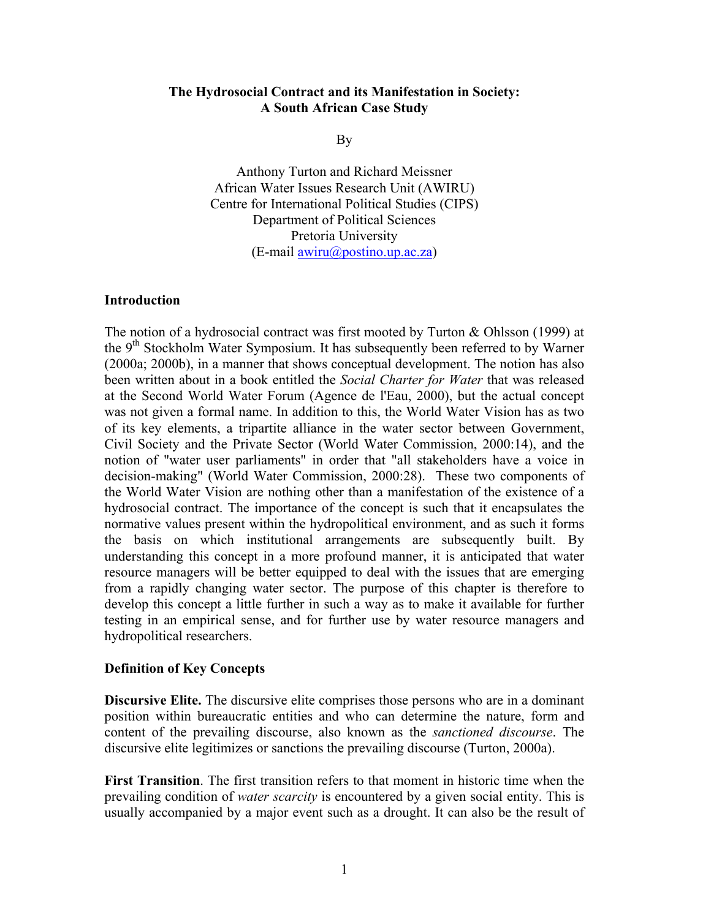### **The Hydrosocial Contract and its Manifestation in Society: A South African Case Study**

By

Anthony Turton and Richard Meissner African Water Issues Research Unit (AWIRU) Centre for International Political Studies (CIPS) Department of Political Sciences Pretoria University (E-mail [awiru@postino.up.ac.za](mailto:awiru@postino.up.ac.za))

#### **Introduction**

The notion of a hydrosocial contract was first mooted by Turton & Ohlsson (1999) at the 9<sup>th</sup> Stockholm Water Symposium. It has subsequently been referred to by Warner (2000a; 2000b), in a manner that shows conceptual development. The notion has also been written about in a book entitled the *Social Charter for Water* that was released at the Second World Water Forum (Agence de l'Eau, 2000), but the actual concept was not given a formal name. In addition to this, the World Water Vision has as two of its key elements, a tripartite alliance in the water sector between Government, Civil Society and the Private Sector (World Water Commission, 2000:14), and the notion of "water user parliaments" in order that "all stakeholders have a voice in decision-making" (World Water Commission, 2000:28). These two components of the World Water Vision are nothing other than a manifestation of the existence of a hydrosocial contract. The importance of the concept is such that it encapsulates the normative values present within the hydropolitical environment, and as such it forms the basis on which institutional arrangements are subsequently built. By understanding this concept in a more profound manner, it is anticipated that water resource managers will be better equipped to deal with the issues that are emerging from a rapidly changing water sector. The purpose of this chapter is therefore to develop this concept a little further in such a way as to make it available for further testing in an empirical sense, and for further use by water resource managers and hydropolitical researchers.

#### **Definition of Key Concepts**

**Discursive Elite.** The discursive elite comprises those persons who are in a dominant position within bureaucratic entities and who can determine the nature, form and content of the prevailing discourse, also known as the *sanctioned discourse*. The discursive elite legitimizes or sanctions the prevailing discourse (Turton, 2000a).

**First Transition**. The first transition refers to that moment in historic time when the prevailing condition of *water scarcity* is encountered by a given social entity. This is usually accompanied by a major event such as a drought. It can also be the result of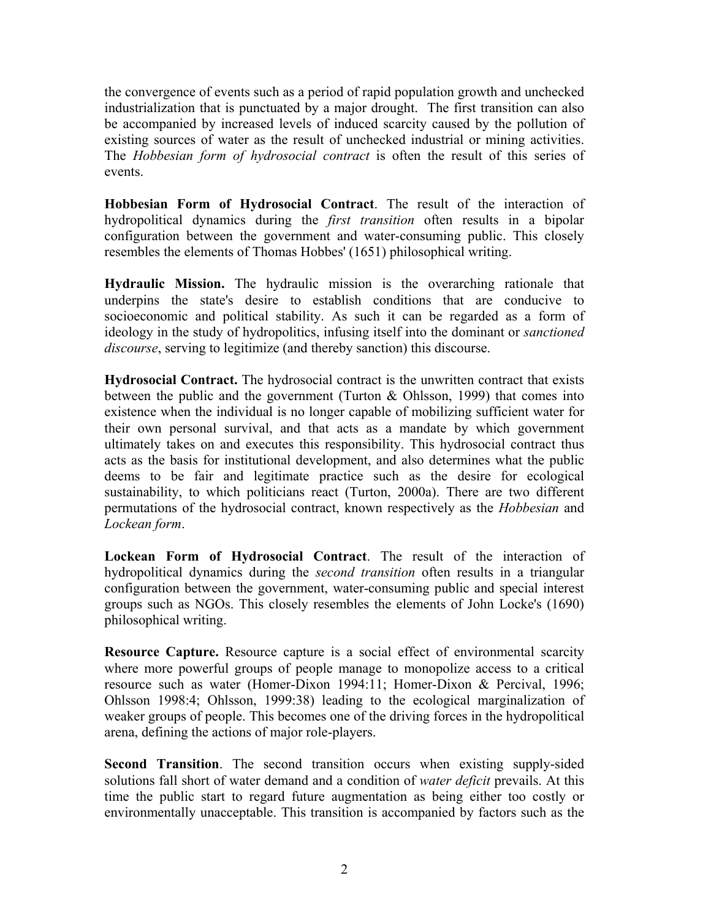the convergence of events such as a period of rapid population growth and unchecked industrialization that is punctuated by a major drought. The first transition can also be accompanied by increased levels of induced scarcity caused by the pollution of existing sources of water as the result of unchecked industrial or mining activities. The *Hobbesian form of hydrosocial contract* is often the result of this series of events.

**Hobbesian Form of Hydrosocial Contract**. The result of the interaction of hydropolitical dynamics during the *first transition* often results in a bipolar configuration between the government and water-consuming public. This closely resembles the elements of Thomas Hobbes' (1651) philosophical writing.

**Hydraulic Mission.** The hydraulic mission is the overarching rationale that underpins the state's desire to establish conditions that are conducive to socioeconomic and political stability. As such it can be regarded as a form of ideology in the study of hydropolitics, infusing itself into the dominant or *sanctioned discourse*, serving to legitimize (and thereby sanction) this discourse.

**Hydrosocial Contract.** The hydrosocial contract is the unwritten contract that exists between the public and the government (Turton  $& Ohlsson, 1999$ ) that comes into existence when the individual is no longer capable of mobilizing sufficient water for their own personal survival, and that acts as a mandate by which government ultimately takes on and executes this responsibility. This hydrosocial contract thus acts as the basis for institutional development, and also determines what the public deems to be fair and legitimate practice such as the desire for ecological sustainability, to which politicians react (Turton, 2000a). There are two different permutations of the hydrosocial contract, known respectively as the *Hobbesian* and *Lockean form*.

**Lockean Form of Hydrosocial Contract**. The result of the interaction of hydropolitical dynamics during the *second transition* often results in a triangular configuration between the government, water-consuming public and special interest groups such as NGOs. This closely resembles the elements of John Locke's (1690) philosophical writing.

**Resource Capture.** Resource capture is a social effect of environmental scarcity where more powerful groups of people manage to monopolize access to a critical resource such as water (Homer-Dixon 1994:11; Homer-Dixon & Percival, 1996; Ohlsson 1998:4; Ohlsson, 1999:38) leading to the ecological marginalization of weaker groups of people. This becomes one of the driving forces in the hydropolitical arena, defining the actions of major role-players.

**Second Transition**. The second transition occurs when existing supply-sided solutions fall short of water demand and a condition of *water deficit* prevails. At this time the public start to regard future augmentation as being either too costly or environmentally unacceptable. This transition is accompanied by factors such as the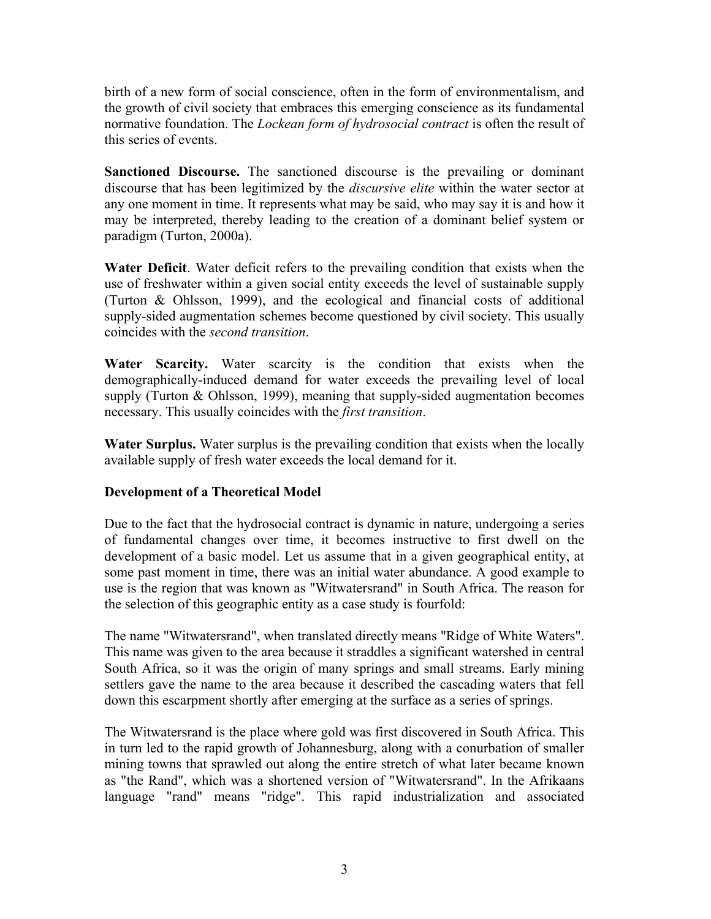birth of a new form of social conscience, often in the form of environmentalism, and the growth of civil society that embraces this emerging conscience as its fundamental normative foundation. The *Lockean form of hydrosocial contract* is often the result of this series of events.

**Sanctioned Discourse.** The sanctioned discourse is the prevailing or dominant discourse that has been legitimized by the *discursive elite* within the water sector at any one moment in time. It represents what may be said, who may say it is and how it may be interpreted, thereby leading to the creation of a dominant belief system or paradigm (Turton, 2000a).

**Water Deficit**. Water deficit refers to the prevailing condition that exists when the use of freshwater within a given social entity exceeds the level of sustainable supply (Turton & Ohlsson, 1999), and the ecological and financial costs of additional supply-sided augmentation schemes become questioned by civil society. This usually coincides with the *second transition*.

**Water Scarcity.** Water scarcity is the condition that exists when the demographically-induced demand for water exceeds the prevailing level of local supply (Turton  $& Ohlsson, 1999$ ), meaning that supply-sided augmentation becomes necessary. This usually coincides with the *first transition*.

**Water Surplus.** Water surplus is the prevailing condition that exists when the locally available supply of fresh water exceeds the local demand for it.

# **Development of a Theoretical Model**

Due to the fact that the hydrosocial contract is dynamic in nature, undergoing a series of fundamental changes over time, it becomes instructive to first dwell on the development of a basic model. Let us assume that in a given geographical entity, at some past moment in time, there was an initial water abundance. A good example to use is the region that was known as "Witwatersrand" in South Africa. The reason for the selection of this geographic entity as a case study is fourfold:

The name "Witwatersrand", when translated directly means "Ridge of White Waters". This name was given to the area because it straddles a significant watershed in central South Africa, so it was the origin of many springs and small streams. Early mining settlers gave the name to the area because it described the cascading waters that fell down this escarpment shortly after emerging at the surface as a series of springs.

The Witwatersrand is the place where gold was first discovered in South Africa. This in turn led to the rapid growth of Johannesburg, along with a conurbation of smaller mining towns that sprawled out along the entire stretch of what later became known as "the Rand", which was a shortened version of "Witwatersrand". In the Afrikaans language "rand" means "ridge". This rapid industrialization and associated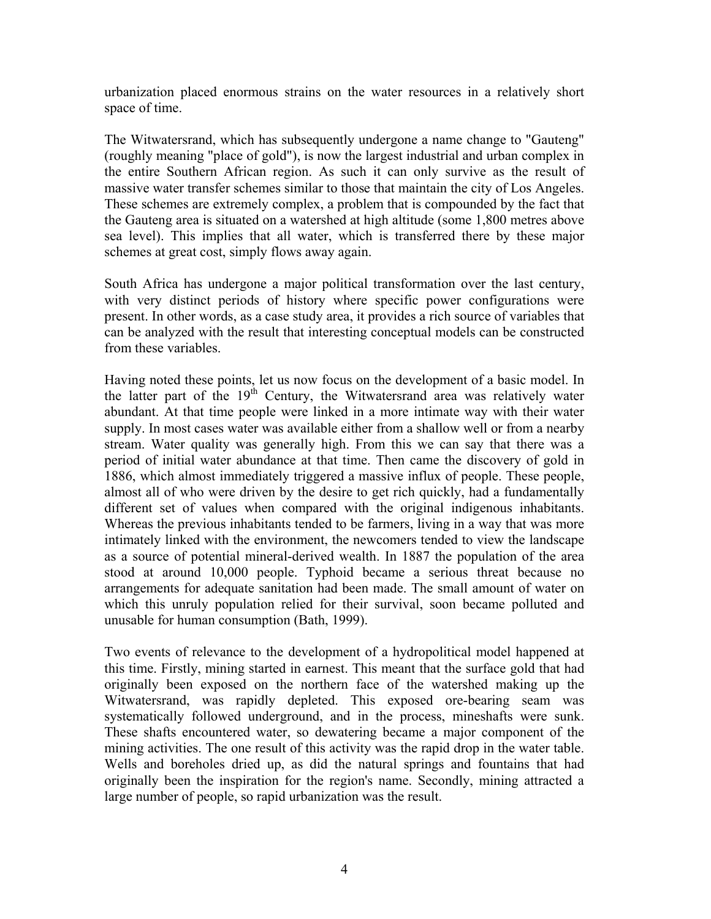urbanization placed enormous strains on the water resources in a relatively short space of time.

The Witwatersrand, which has subsequently undergone a name change to "Gauteng" (roughly meaning "place of gold"), is now the largest industrial and urban complex in the entire Southern African region. As such it can only survive as the result of massive water transfer schemes similar to those that maintain the city of Los Angeles. These schemes are extremely complex, a problem that is compounded by the fact that the Gauteng area is situated on a watershed at high altitude (some 1,800 metres above sea level). This implies that all water, which is transferred there by these major schemes at great cost, simply flows away again.

South Africa has undergone a major political transformation over the last century, with very distinct periods of history where specific power configurations were present. In other words, as a case study area, it provides a rich source of variables that can be analyzed with the result that interesting conceptual models can be constructed from these variables.

Having noted these points, let us now focus on the development of a basic model. In the latter part of the  $19<sup>th</sup>$  Century, the Witwatersrand area was relatively water abundant. At that time people were linked in a more intimate way with their water supply. In most cases water was available either from a shallow well or from a nearby stream. Water quality was generally high. From this we can say that there was a period of initial water abundance at that time. Then came the discovery of gold in 1886, which almost immediately triggered a massive influx of people. These people, almost all of who were driven by the desire to get rich quickly, had a fundamentally different set of values when compared with the original indigenous inhabitants. Whereas the previous inhabitants tended to be farmers, living in a way that was more intimately linked with the environment, the newcomers tended to view the landscape as a source of potential mineral-derived wealth. In 1887 the population of the area stood at around 10,000 people. Typhoid became a serious threat because no arrangements for adequate sanitation had been made. The small amount of water on which this unruly population relied for their survival, soon became polluted and unusable for human consumption (Bath, 1999).

Two events of relevance to the development of a hydropolitical model happened at this time. Firstly, mining started in earnest. This meant that the surface gold that had originally been exposed on the northern face of the watershed making up the Witwatersrand, was rapidly depleted. This exposed ore-bearing seam was systematically followed underground, and in the process, mineshafts were sunk. These shafts encountered water, so dewatering became a major component of the mining activities. The one result of this activity was the rapid drop in the water table. Wells and boreholes dried up, as did the natural springs and fountains that had originally been the inspiration for the region's name. Secondly, mining attracted a large number of people, so rapid urbanization was the result.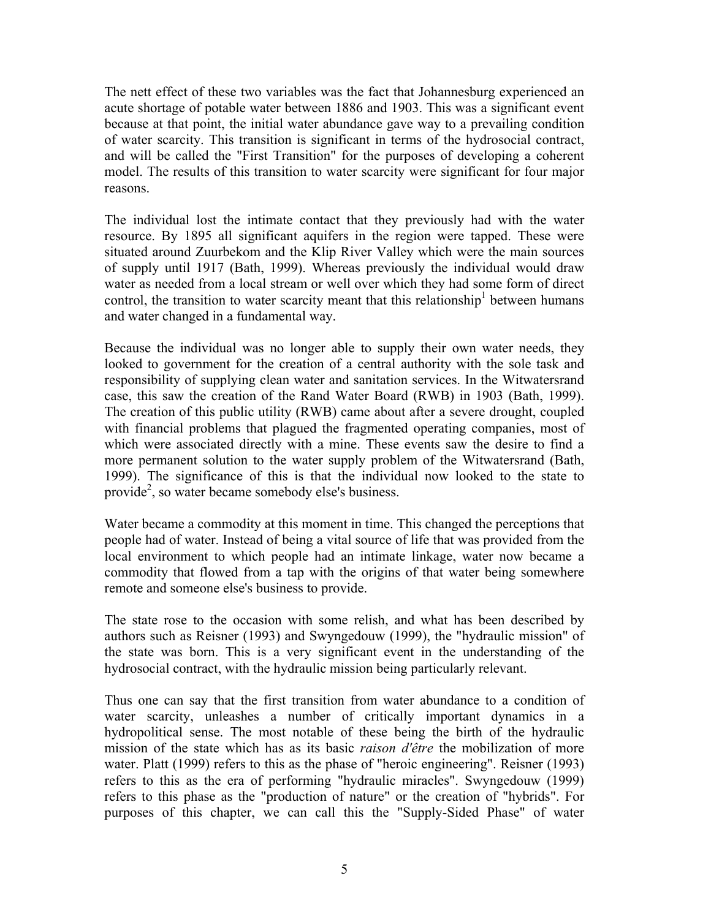The nett effect of these two variables was the fact that Johannesburg experienced an acute shortage of potable water between 1886 and 1903. This was a significant event because at that point, the initial water abundance gave way to a prevailing condition of water scarcity. This transition is significant in terms of the hydrosocial contract, and will be called the "First Transition" for the purposes of developing a coherent model. The results of this transition to water scarcity were significant for four major reasons.

The individual lost the intimate contact that they previously had with the water resource. By 1895 all significant aquifers in the region were tapped. These were situated around Zuurbekom and the Klip River Valley which were the main sources of supply until 1917 (Bath, 1999). Whereas previously the individual would draw water as needed from a local stream or well over which they had some form of direct control, the transition to water scarcity meant that this relationship $<sup>1</sup>$  between humans</sup> and water changed in a fundamental way.

Because the individual was no longer able to supply their own water needs, they looked to government for the creation of a central authority with the sole task and responsibility of supplying clean water and sanitation services. In the Witwatersrand case, this saw the creation of the Rand Water Board (RWB) in 1903 (Bath, 1999). The creation of this public utility (RWB) came about after a severe drought, coupled with financial problems that plagued the fragmented operating companies, most of which were associated directly with a mine. These events saw the desire to find a more permanent solution to the water supply problem of the Witwatersrand (Bath, 1999). The significance of this is that the individual now looked to the state to provide<sup>[2](#page-30-1)</sup>, so water became somebody else's business.

Water became a commodity at this moment in time. This changed the perceptions that people had of water. Instead of being a vital source of life that was provided from the local environment to which people had an intimate linkage, water now became a commodity that flowed from a tap with the origins of that water being somewhere remote and someone else's business to provide.

The state rose to the occasion with some relish, and what has been described by authors such as Reisner (1993) and Swyngedouw (1999), the "hydraulic mission" of the state was born. This is a very significant event in the understanding of the hydrosocial contract, with the hydraulic mission being particularly relevant.

Thus one can say that the first transition from water abundance to a condition of water scarcity, unleashes a number of critically important dynamics in a hydropolitical sense. The most notable of these being the birth of the hydraulic mission of the state which has as its basic *raison d'être* the mobilization of more water. Platt (1999) refers to this as the phase of "heroic engineering". Reisner (1993) refers to this as the era of performing "hydraulic miracles". Swyngedouw (1999) refers to this phase as the "production of nature" or the creation of "hybrids". For purposes of this chapter, we can call this the "Supply-Sided Phase" of water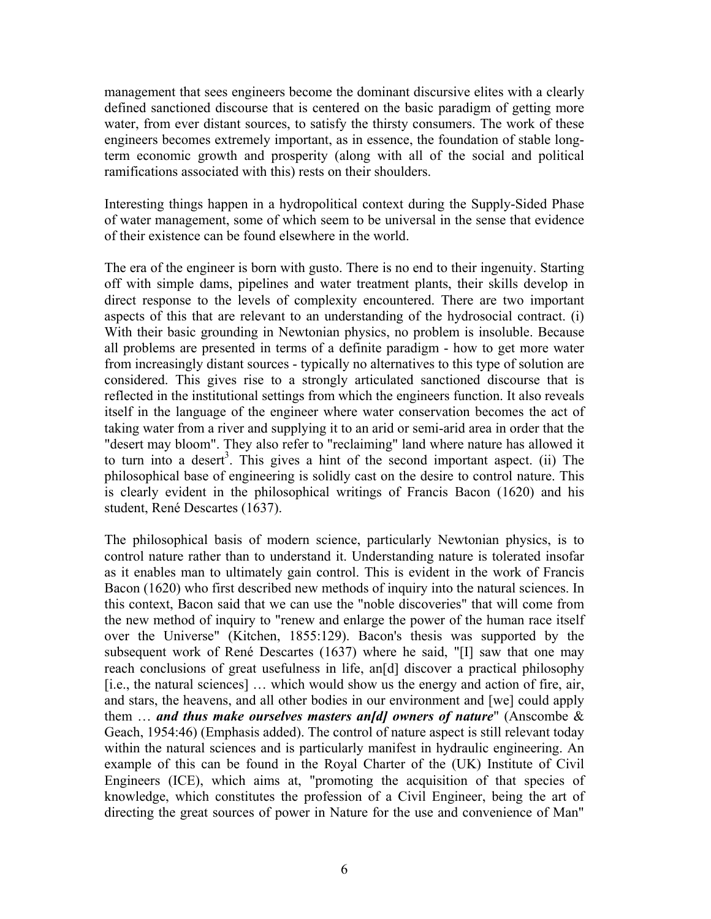management that sees engineers become the dominant discursive elites with a clearly defined sanctioned discourse that is centered on the basic paradigm of getting more water, from ever distant sources, to satisfy the thirsty consumers. The work of these engineers becomes extremely important, as in essence, the foundation of stable longterm economic growth and prosperity (along with all of the social and political ramifications associated with this) rests on their shoulders.

Interesting things happen in a hydropolitical context during the Supply-Sided Phase of water management, some of which seem to be universal in the sense that evidence of their existence can be found elsewhere in the world.

The era of the engineer is born with gusto. There is no end to their ingenuity. Starting off with simple dams, pipelines and water treatment plants, their skills develop in direct response to the levels of complexity encountered. There are two important aspects of this that are relevant to an understanding of the hydrosocial contract. (i) With their basic grounding in Newtonian physics, no problem is insoluble. Because all problems are presented in terms of a definite paradigm - how to get more water from increasingly distant sources - typically no alternatives to this type of solution are considered. This gives rise to a strongly articulated sanctioned discourse that is reflected in the institutional settings from which the engineers function. It also reveals itself in the language of the engineer where water conservation becomes the act of taking water from a river and supplying it to an arid or semi-arid area in order that the "desert may bloom". They also refer to "reclaiming" land where nature has allowed it to turn into a desert<sup>[3](#page-30-2)</sup>. This gives a hint of the second important aspect. (ii) The philosophical base of engineering is solidly cast on the desire to control nature. This is clearly evident in the philosophical writings of Francis Bacon (1620) and his student, René Descartes (1637).

The philosophical basis of modern science, particularly Newtonian physics, is to control nature rather than to understand it. Understanding nature is tolerated insofar as it enables man to ultimately gain control. This is evident in the work of Francis Bacon (1620) who first described new methods of inquiry into the natural sciences. In this context, Bacon said that we can use the "noble discoveries" that will come from the new method of inquiry to "renew and enlarge the power of the human race itself over the Universe" (Kitchen, 1855:129). Bacon's thesis was supported by the subsequent work of René Descartes (1637) where he said, "[I] saw that one may reach conclusions of great usefulness in life, an[d] discover a practical philosophy [i.e., the natural sciences] … which would show us the energy and action of fire, air, and stars, the heavens, and all other bodies in our environment and [we] could apply them … *and thus make ourselves masters an[d] owners of nature*" (Anscombe & Geach, 1954:46) (Emphasis added). The control of nature aspect is still relevant today within the natural sciences and is particularly manifest in hydraulic engineering. An example of this can be found in the Royal Charter of the (UK) Institute of Civil Engineers (ICE), which aims at, "promoting the acquisition of that species of knowledge, which constitutes the profession of a Civil Engineer, being the art of directing the great sources of power in Nature for the use and convenience of Man"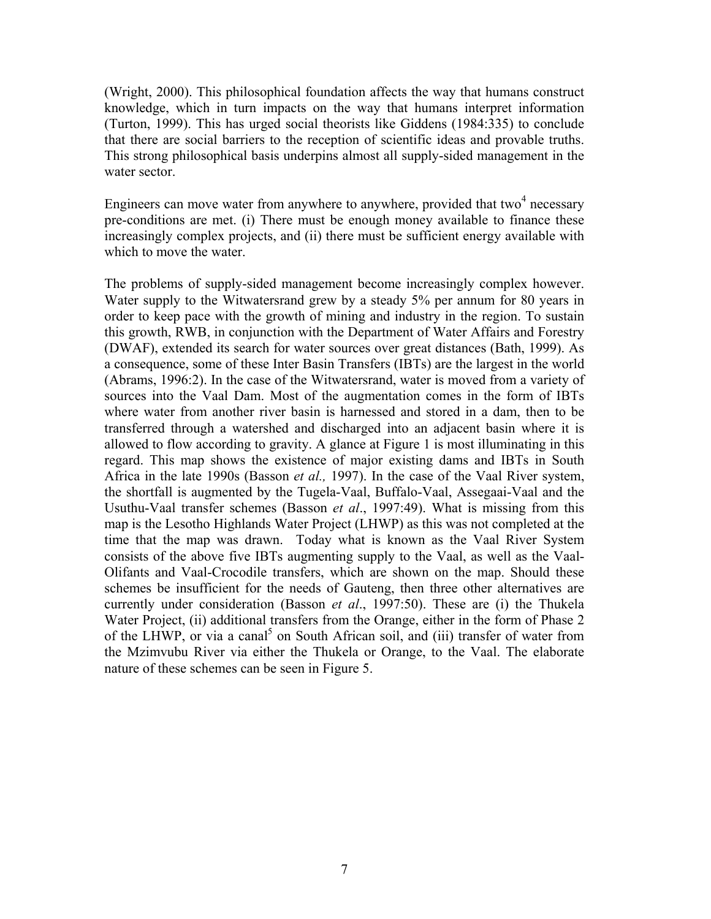(Wright, 2000). This philosophical foundation affects the way that humans construct knowledge, which in turn impacts on the way that humans interpret information (Turton, 1999). This has urged social theorists like Giddens (1984:335) to conclude that there are social barriers to the reception of scientific ideas and provable truths. This strong philosophical basis underpins almost all supply-sided management in the water sector.

Engineers can move water from anywhere to anywhere, provided that two<sup>4</sup> necessary pre-conditions are met. (i) There must be enough money available to finance these increasingly complex projects, and (ii) there must be sufficient energy available with which to move the water.

The problems of supply-sided management become increasingly complex however. Water supply to the Witwatersrand grew by a steady 5% per annum for 80 years in order to keep pace with the growth of mining and industry in the region. To sustain this growth, RWB, in conjunction with the Department of Water Affairs and Forestry (DWAF), extended its search for water sources over great distances (Bath, 1999). As a consequence, some of these Inter Basin Transfers (IBTs) are the largest in the world (Abrams, 1996:2). In the case of the Witwatersrand, water is moved from a variety of sources into the Vaal Dam. Most of the augmentation comes in the form of IBTs where water from another river basin is harnessed and stored in a dam, then to be transferred through a watershed and discharged into an adjacent basin where it is allowed to flow according to gravity. A glance at Figure 1 is most illuminating in this regard. This map shows the existence of major existing dams and IBTs in South Africa in the late 1990s (Basson *et al.,* 1997). In the case of the Vaal River system, the shortfall is augmented by the Tugela-Vaal, Buffalo-Vaal, Assegaai-Vaal and the Usuthu-Vaal transfer schemes (Basson *et al*., 1997:49). What is missing from this map is the Lesotho Highlands Water Project (LHWP) as this was not completed at the time that the map was drawn. Today what is known as the Vaal River System consists of the above five IBTs augmenting supply to the Vaal, as well as the Vaal-Olifants and Vaal-Crocodile transfers, which are shown on the map. Should these schemes be insufficient for the needs of Gauteng, then three other alternatives are currently under consideration (Basson *et al*., 1997:50). These are (i) the Thukela Water Project, (ii) additional transfers from the Orange, either in the form of Phase 2 of the LHWP, or via a canal<sup>[5](#page-30-4)</sup> on South African soil, and (iii) transfer of water from the Mzimvubu River via either the Thukela or Orange, to the Vaal. The elaborate nature of these schemes can be seen in Figure 5.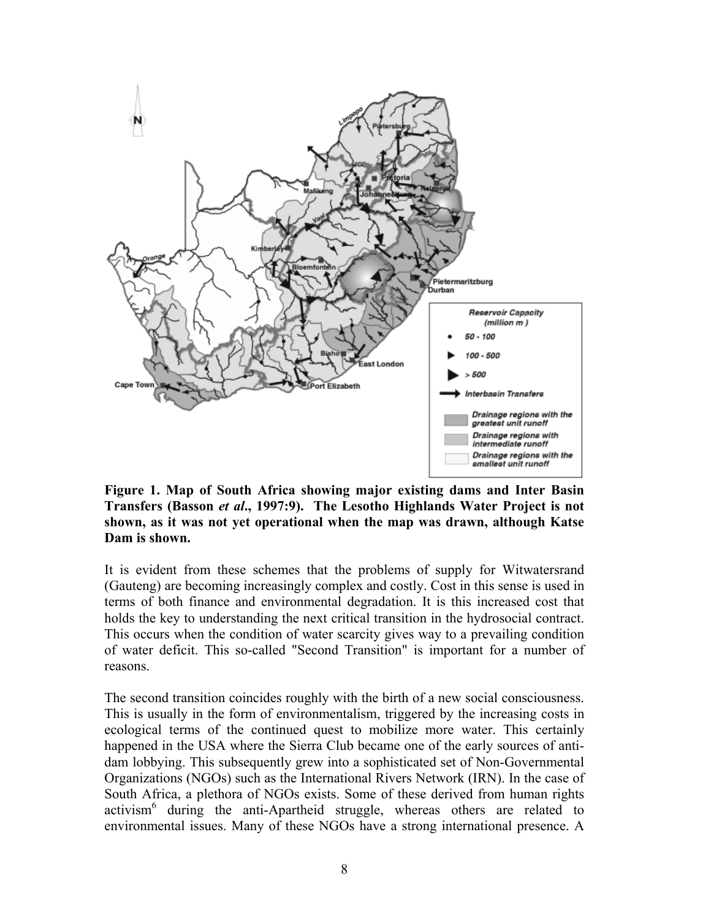

**Figure 1. Map of South Africa showing major existing dams and Inter Basin Transfers (Basson** *et al***., 1997:9). The Lesotho Highlands Water Project is not shown, as it was not yet operational when the map was drawn, although Katse Dam is shown.** 

It is evident from these schemes that the problems of supply for Witwatersrand (Gauteng) are becoming increasingly complex and costly. Cost in this sense is used in terms of both finance and environmental degradation. It is this increased cost that holds the key to understanding the next critical transition in the hydrosocial contract. This occurs when the condition of water scarcity gives way to a prevailing condition of water deficit. This so-called "Second Transition" is important for a number of reasons.

The second transition coincides roughly with the birth of a new social consciousness. This is usually in the form of environmentalism, triggered by the increasing costs in ecological terms of the continued quest to mobilize more water. This certainly happened in the USA where the Sierra Club became one of the early sources of antidam lobbying. This subsequently grew into a sophisticated set of Non-Governmental Organizations (NGOs) such as the International Rivers Network (IRN). In the case of South Africa, a plethora of NGOs exists. Some of these derived from human rights activism<sup>6</sup> during the anti-Apartheid struggle, whereas others are related to environmental issues. Many of these NGOs have a strong international presence. A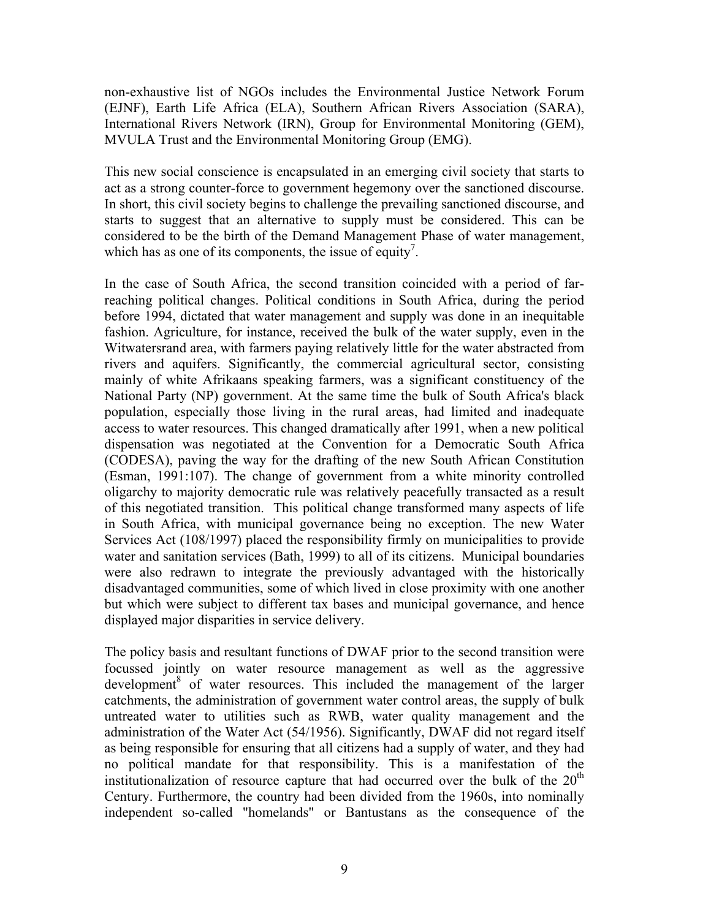non-exhaustive list of NGOs includes the Environmental Justice Network Forum (EJNF), Earth Life Africa (ELA), Southern African Rivers Association (SARA), International Rivers Network (IRN), Group for Environmental Monitoring (GEM), MVULA Trust and the Environmental Monitoring Group (EMG).

This new social conscience is encapsulated in an emerging civil society that starts to act as a strong counter-force to government hegemony over the sanctioned discourse. In short, this civil society begins to challenge the prevailing sanctioned discourse, and starts to suggest that an alternative to supply must be considered. This can be considered to be the birth of the Demand Management Phase of water management, which has as one of its components, the issue of equity<sup>7</sup>.

In the case of South Africa, the second transition coincided with a period of farreaching political changes. Political conditions in South Africa, during the period before 1994, dictated that water management and supply was done in an inequitable fashion. Agriculture, for instance, received the bulk of the water supply, even in the Witwatersrand area, with farmers paying relatively little for the water abstracted from rivers and aquifers. Significantly, the commercial agricultural sector, consisting mainly of white Afrikaans speaking farmers, was a significant constituency of the National Party (NP) government. At the same time the bulk of South Africa's black population, especially those living in the rural areas, had limited and inadequate access to water resources. This changed dramatically after 1991, when a new political dispensation was negotiated at the Convention for a Democratic South Africa (CODESA), paving the way for the drafting of the new South African Constitution (Esman, 1991:107). The change of government from a white minority controlled oligarchy to majority democratic rule was relatively peacefully transacted as a result of this negotiated transition. This political change transformed many aspects of life in South Africa, with municipal governance being no exception. The new Water Services Act (108/1997) placed the responsibility firmly on municipalities to provide water and sanitation services (Bath, 1999) to all of its citizens. Municipal boundaries were also redrawn to integrate the previously advantaged with the historically disadvantaged communities, some of which lived in close proximity with one another but which were subject to different tax bases and municipal governance, and hence displayed major disparities in service delivery.

The policy basis and resultant functions of DWAF prior to the second transition were focussed jointly on water resource management as well as the aggressive development<sup>[8](#page-30-7)</sup> of water resources. This included the management of the larger catchments, the administration of government water control areas, the supply of bulk untreated water to utilities such as RWB, water quality management and the administration of the Water Act (54/1956). Significantly, DWAF did not regard itself as being responsible for ensuring that all citizens had a supply of water, and they had no political mandate for that responsibility. This is a manifestation of the institutionalization of resource capture that had occurred over the bulk of the  $20<sup>th</sup>$ Century. Furthermore, the country had been divided from the 1960s, into nominally independent so-called "homelands" or Bantustans as the consequence of the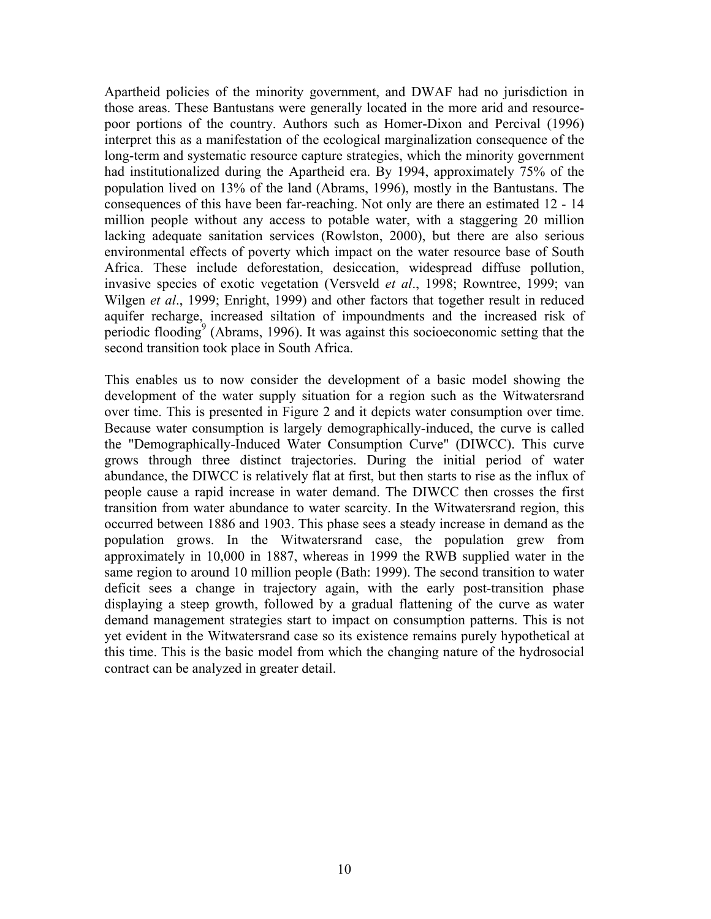Apartheid policies of the minority government, and DWAF had no jurisdiction in those areas. These Bantustans were generally located in the more arid and resourcepoor portions of the country. Authors such as Homer-Dixon and Percival (1996) interpret this as a manifestation of the ecological marginalization consequence of the long-term and systematic resource capture strategies, which the minority government had institutionalized during the Apartheid era. By 1994, approximately 75% of the population lived on 13% of the land (Abrams, 1996), mostly in the Bantustans. The consequences of this have been far-reaching. Not only are there an estimated 12 - 14 million people without any access to potable water, with a staggering 20 million lacking adequate sanitation services (Rowlston, 2000), but there are also serious environmental effects of poverty which impact on the water resource base of South Africa. These include deforestation, desiccation, widespread diffuse pollution, invasive species of exotic vegetation (Versveld *et al*., 1998; Rowntree, 1999; van Wilgen *et al*., 1999; Enright, 1999) and other factors that together result in reduced aquifer recharge, increased siltation of impoundments and the increased risk of periodic flooding<sup>9</sup> (Abrams, 1996). It was against this socioeconomic setting that the second transition took place in South Africa.

This enables us to now consider the development of a basic model showing the development of the water supply situation for a region such as the Witwatersrand over time. This is presented in Figure 2 and it depicts water consumption over time. Because water consumption is largely demographically-induced, the curve is called the "Demographically-Induced Water Consumption Curve" (DIWCC). This curve grows through three distinct trajectories. During the initial period of water abundance, the DIWCC is relatively flat at first, but then starts to rise as the influx of people cause a rapid increase in water demand. The DIWCC then crosses the first transition from water abundance to water scarcity. In the Witwatersrand region, this occurred between 1886 and 1903. This phase sees a steady increase in demand as the population grows. In the Witwatersrand case, the population grew from approximately in 10,000 in 1887, whereas in 1999 the RWB supplied water in the same region to around 10 million people (Bath: 1999). The second transition to water deficit sees a change in trajectory again, with the early post-transition phase displaying a steep growth, followed by a gradual flattening of the curve as water demand management strategies start to impact on consumption patterns. This is not yet evident in the Witwatersrand case so its existence remains purely hypothetical at this time. This is the basic model from which the changing nature of the hydrosocial contract can be analyzed in greater detail.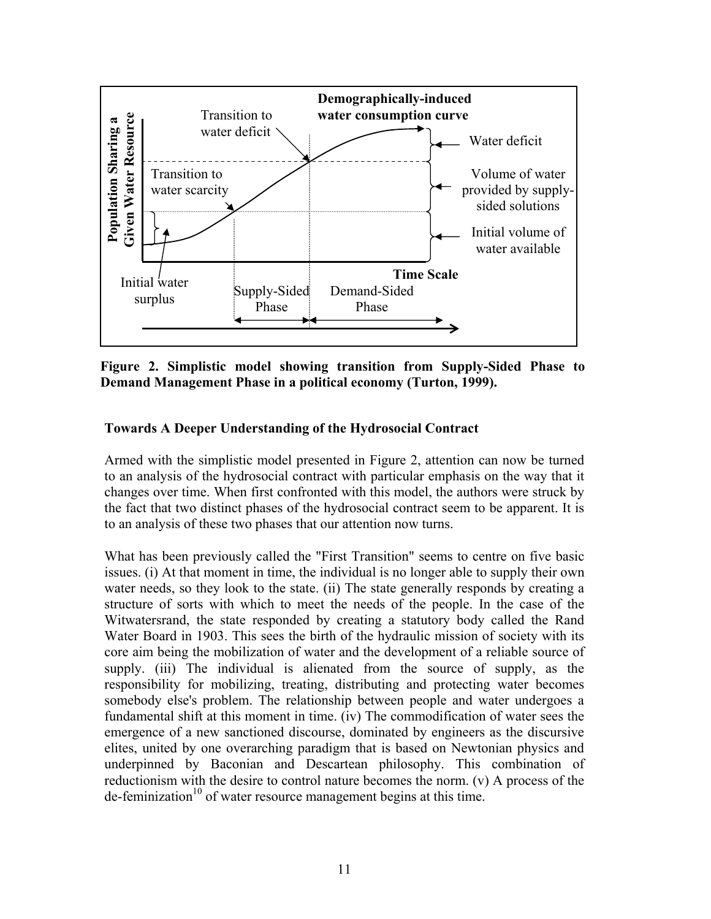

**Figure 2. Simplistic model showing transition from Supply-Sided Phase to Demand Management Phase in a political economy (Turton, 1999).** 

## **Towards A Deeper Understanding of the Hydrosocial Contract**

Armed with the simplistic model presented in Figure 2, attention can now be turned to an analysis of the hydrosocial contract with particular emphasis on the way that it changes over time. When first confronted with this model, the authors were struck by the fact that two distinct phases of the hydrosocial contract seem to be apparent. It is to an analysis of these two phases that our attention now turns.

What has been previously called the "First Transition" seems to centre on five basic issues. (i) At that moment in time, the individual is no longer able to supply their own water needs, so they look to the state. (ii) The state generally responds by creating a structure of sorts with which to meet the needs of the people. In the case of the Witwatersrand, the state responded by creating a statutory body called the Rand Water Board in 1903. This sees the birth of the hydraulic mission of society with its core aim being the mobilization of water and the development of a reliable source of supply. (iii) The individual is alienated from the source of supply, as the responsibility for mobilizing, treating, distributing and protecting water becomes somebody else's problem. The relationship between people and water undergoes a fundamental shift at this moment in time. (iv) The commodification of water sees the emergence of a new sanctioned discourse, dominated by engineers as the discursive elites, united by one overarching paradigm that is based on Newtonian physics and underpinned by Baconian and Descartean philosophy. This combination of reductionism with the desire to control nature becomes the norm. (v) A process of the  $de-ferminization<sup>10</sup>$  of water resource management begins at this time.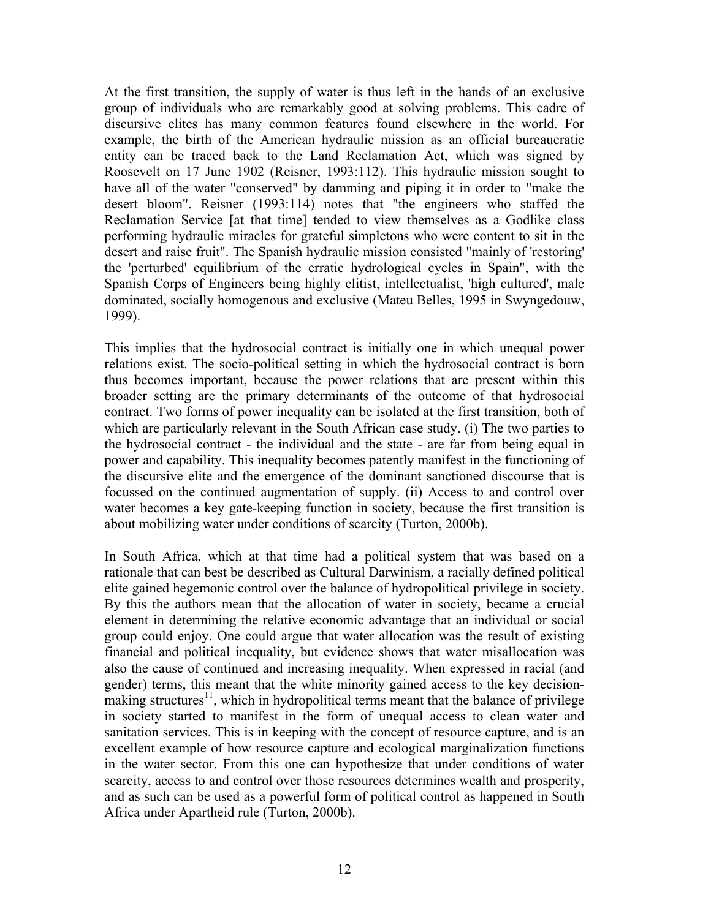At the first transition, the supply of water is thus left in the hands of an exclusive group of individuals who are remarkably good at solving problems. This cadre of discursive elites has many common features found elsewhere in the world. For example, the birth of the American hydraulic mission as an official bureaucratic entity can be traced back to the Land Reclamation Act, which was signed by Roosevelt on 17 June 1902 (Reisner, 1993:112). This hydraulic mission sought to have all of the water "conserved" by damming and piping it in order to "make the desert bloom". Reisner (1993:114) notes that "the engineers who staffed the Reclamation Service [at that time] tended to view themselves as a Godlike class performing hydraulic miracles for grateful simpletons who were content to sit in the desert and raise fruit". The Spanish hydraulic mission consisted "mainly of 'restoring' the 'perturbed' equilibrium of the erratic hydrological cycles in Spain", with the Spanish Corps of Engineers being highly elitist, intellectualist, 'high cultured', male dominated, socially homogenous and exclusive (Mateu Belles, 1995 in Swyngedouw, 1999).

This implies that the hydrosocial contract is initially one in which unequal power relations exist. The socio-political setting in which the hydrosocial contract is born thus becomes important, because the power relations that are present within this broader setting are the primary determinants of the outcome of that hydrosocial contract. Two forms of power inequality can be isolated at the first transition, both of which are particularly relevant in the South African case study. (i) The two parties to the hydrosocial contract - the individual and the state - are far from being equal in power and capability. This inequality becomes patently manifest in the functioning of the discursive elite and the emergence of the dominant sanctioned discourse that is focussed on the continued augmentation of supply. (ii) Access to and control over water becomes a key gate-keeping function in society, because the first transition is about mobilizing water under conditions of scarcity (Turton, 2000b).

In South Africa, which at that time had a political system that was based on a rationale that can best be described as Cultural Darwinism, a racially defined political elite gained hegemonic control over the balance of hydropolitical privilege in society. By this the authors mean that the allocation of water in society, became a crucial element in determining the relative economic advantage that an individual or social group could enjoy. One could argue that water allocation was the result of existing financial and political inequality, but evidence shows that water misallocation was also the cause of continued and increasing inequality. When expressed in racial (and gender) terms, this meant that the white minority gained access to the key decisionmaking structures<sup>11</sup>, which in hydropolitical terms meant that the balance of privilege in society started to manifest in the form of unequal access to clean water and sanitation services. This is in keeping with the concept of resource capture, and is an excellent example of how resource capture and ecological marginalization functions in the water sector. From this one can hypothesize that under conditions of water scarcity, access to and control over those resources determines wealth and prosperity, and as such can be used as a powerful form of political control as happened in South Africa under Apartheid rule (Turton, 2000b).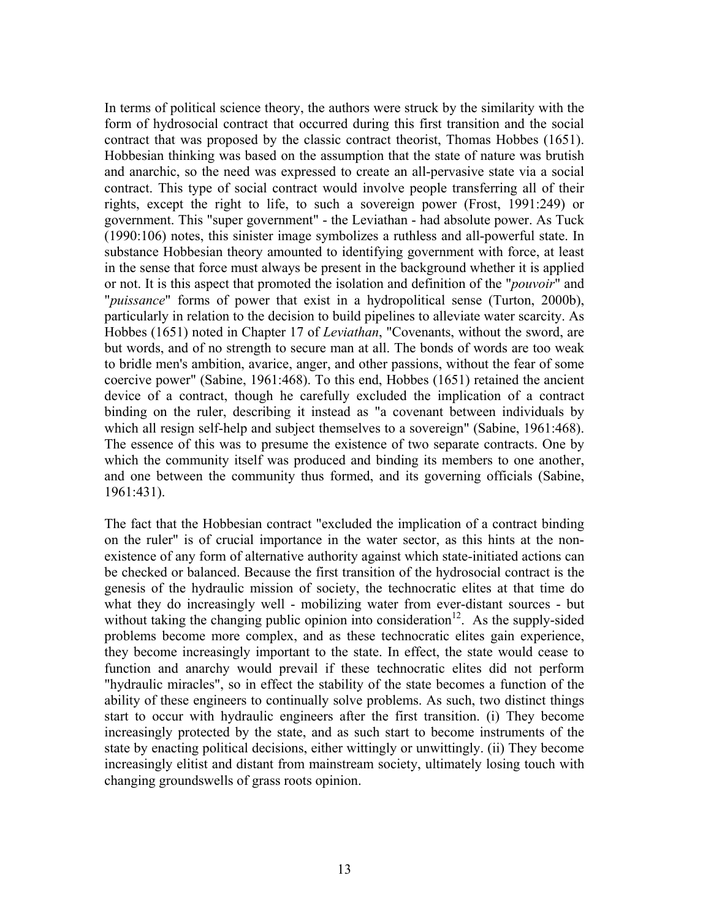In terms of political science theory, the authors were struck by the similarity with the form of hydrosocial contract that occurred during this first transition and the social contract that was proposed by the classic contract theorist, Thomas Hobbes (1651). Hobbesian thinking was based on the assumption that the state of nature was brutish and anarchic, so the need was expressed to create an all-pervasive state via a social contract. This type of social contract would involve people transferring all of their rights, except the right to life, to such a sovereign power (Frost, 1991:249) or government. This "super government" - the Leviathan - had absolute power. As Tuck (1990:106) notes, this sinister image symbolizes a ruthless and all-powerful state. In substance Hobbesian theory amounted to identifying government with force, at least in the sense that force must always be present in the background whether it is applied or not. It is this aspect that promoted the isolation and definition of the "*pouvoir*" and "*puissance*" forms of power that exist in a hydropolitical sense (Turton, 2000b), particularly in relation to the decision to build pipelines to alleviate water scarcity. As Hobbes (1651) noted in Chapter 17 of *Leviathan*, "Covenants, without the sword, are but words, and of no strength to secure man at all. The bonds of words are too weak to bridle men's ambition, avarice, anger, and other passions, without the fear of some coercive power" (Sabine, 1961:468). To this end, Hobbes (1651) retained the ancient device of a contract, though he carefully excluded the implication of a contract binding on the ruler, describing it instead as "a covenant between individuals by which all resign self-help and subject themselves to a sovereign" (Sabine, 1961:468). The essence of this was to presume the existence of two separate contracts. One by which the community itself was produced and binding its members to one another, and one between the community thus formed, and its governing officials (Sabine, 1961:431).

The fact that the Hobbesian contract "excluded the implication of a contract binding on the ruler" is of crucial importance in the water sector, as this hints at the nonexistence of any form of alternative authority against which state-initiated actions can be checked or balanced. Because the first transition of the hydrosocial contract is the genesis of the hydraulic mission of society, the technocratic elites at that time do what they do increasingly well - mobilizing water from ever-distant sources - but without taking the changing public opinion into consideration<sup>12</sup>. As the supply-sided problems become more complex, and as these technocratic elites gain experience, they become increasingly important to the state. In effect, the state would cease to function and anarchy would prevail if these technocratic elites did not perform "hydraulic miracles", so in effect the stability of the state becomes a function of the ability of these engineers to continually solve problems. As such, two distinct things start to occur with hydraulic engineers after the first transition. (i) They become increasingly protected by the state, and as such start to become instruments of the state by enacting political decisions, either wittingly or unwittingly. (ii) They become increasingly elitist and distant from mainstream society, ultimately losing touch with changing groundswells of grass roots opinion.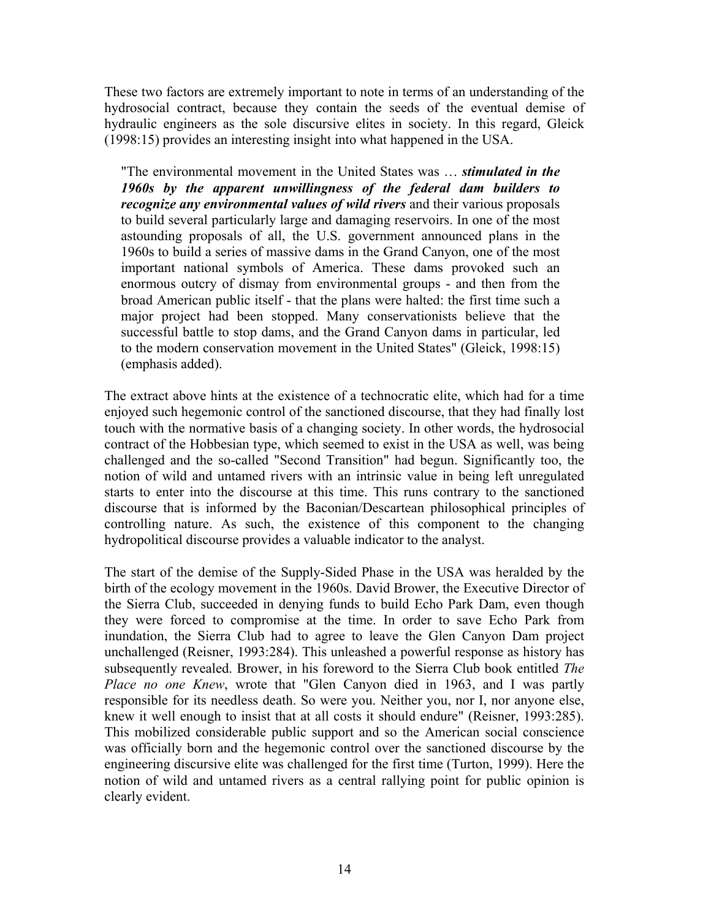These two factors are extremely important to note in terms of an understanding of the hydrosocial contract, because they contain the seeds of the eventual demise of hydraulic engineers as the sole discursive elites in society. In this regard, Gleick (1998:15) provides an interesting insight into what happened in the USA.

"The environmental movement in the United States was … *stimulated in the 1960s by the apparent unwillingness of the federal dam builders to recognize any environmental values of wild rivers* and their various proposals to build several particularly large and damaging reservoirs. In one of the most astounding proposals of all, the U.S. government announced plans in the 1960s to build a series of massive dams in the Grand Canyon, one of the most important national symbols of America. These dams provoked such an enormous outcry of dismay from environmental groups - and then from the broad American public itself - that the plans were halted: the first time such a major project had been stopped. Many conservationists believe that the successful battle to stop dams, and the Grand Canyon dams in particular, led to the modern conservation movement in the United States" (Gleick, 1998:15) (emphasis added).

The extract above hints at the existence of a technocratic elite, which had for a time enjoyed such hegemonic control of the sanctioned discourse, that they had finally lost touch with the normative basis of a changing society. In other words, the hydrosocial contract of the Hobbesian type, which seemed to exist in the USA as well, was being challenged and the so-called "Second Transition" had begun. Significantly too, the notion of wild and untamed rivers with an intrinsic value in being left unregulated starts to enter into the discourse at this time. This runs contrary to the sanctioned discourse that is informed by the Baconian/Descartean philosophical principles of controlling nature. As such, the existence of this component to the changing hydropolitical discourse provides a valuable indicator to the analyst.

The start of the demise of the Supply-Sided Phase in the USA was heralded by the birth of the ecology movement in the 1960s. David Brower, the Executive Director of the Sierra Club, succeeded in denying funds to build Echo Park Dam, even though they were forced to compromise at the time. In order to save Echo Park from inundation, the Sierra Club had to agree to leave the Glen Canyon Dam project unchallenged (Reisner, 1993:284). This unleashed a powerful response as history has subsequently revealed. Brower, in his foreword to the Sierra Club book entitled *The Place no one Knew*, wrote that "Glen Canyon died in 1963, and I was partly responsible for its needless death. So were you. Neither you, nor I, nor anyone else, knew it well enough to insist that at all costs it should endure" (Reisner, 1993:285). This mobilized considerable public support and so the American social conscience was officially born and the hegemonic control over the sanctioned discourse by the engineering discursive elite was challenged for the first time (Turton, 1999). Here the notion of wild and untamed rivers as a central rallying point for public opinion is clearly evident.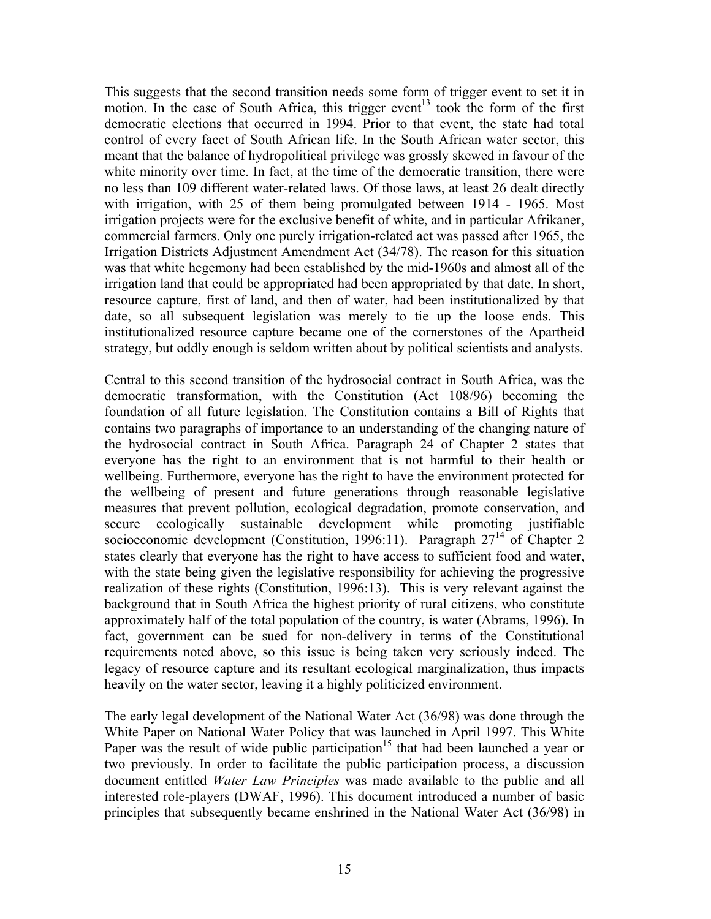This suggests that the second transition needs some form of trigger event to set it in motion. In the case of South Africa, this trigger event<sup>13</sup> took the form of the first democratic elections that occurred in 1994. Prior to that event, the state had total control of every facet of South African life. In the South African water sector, this meant that the balance of hydropolitical privilege was grossly skewed in favour of the white minority over time. In fact, at the time of the democratic transition, there were no less than 109 different water-related laws. Of those laws, at least 26 dealt directly with irrigation, with 25 of them being promulgated between 1914 - 1965. Most irrigation projects were for the exclusive benefit of white, and in particular Afrikaner, commercial farmers. Only one purely irrigation-related act was passed after 1965, the Irrigation Districts Adjustment Amendment Act (34/78). The reason for this situation was that white hegemony had been established by the mid-1960s and almost all of the irrigation land that could be appropriated had been appropriated by that date. In short, resource capture, first of land, and then of water, had been institutionalized by that date, so all subsequent legislation was merely to tie up the loose ends. This institutionalized resource capture became one of the cornerstones of the Apartheid strategy, but oddly enough is seldom written about by political scientists and analysts.

Central to this second transition of the hydrosocial contract in South Africa, was the democratic transformation, with the Constitution (Act 108/96) becoming the foundation of all future legislation. The Constitution contains a Bill of Rights that contains two paragraphs of importance to an understanding of the changing nature of the hydrosocial contract in South Africa. Paragraph 24 of Chapter 2 states that everyone has the right to an environment that is not harmful to their health or wellbeing. Furthermore, everyone has the right to have the environment protected for the wellbeing of present and future generations through reasonable legislative measures that prevent pollution, ecological degradation, promote conservation, and secure ecologically sustainable development while promoting justifiable socioeconomic development (Constitution, 1996:11). Paragraph  $27^{14}$  of Chapter 2 states clearly that everyone has the right to have access to sufficient food and water, with the state being given the legislative responsibility for achieving the progressive realization of these rights (Constitution, 1996:13). This is very relevant against the background that in South Africa the highest priority of rural citizens, who constitute approximately half of the total population of the country, is water (Abrams, 1996). In fact, government can be sued for non-delivery in terms of the Constitutional requirements noted above, so this issue is being taken very seriously indeed. The legacy of resource capture and its resultant ecological marginalization, thus impacts heavily on the water sector, leaving it a highly politicized environment.

The early legal development of the National Water Act (36/98) was done through the White Paper on National Water Policy that was launched in April 1997. This White Paper was the result of wide public participation<sup>15</sup> that had been launched a year or two previously. In order to facilitate the public participation process, a discussion document entitled *Water Law Principles* was made available to the public and all interested role-players (DWAF, 1996). This document introduced a number of basic principles that subsequently became enshrined in the National Water Act (36/98) in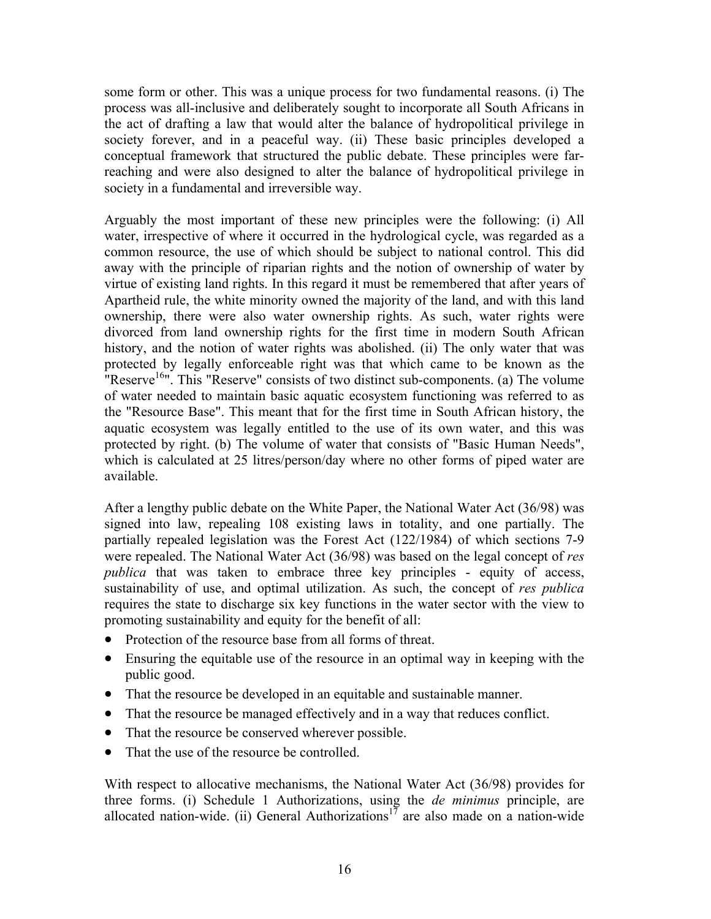some form or other. This was a unique process for two fundamental reasons. (i) The process was all-inclusive and deliberately sought to incorporate all South Africans in the act of drafting a law that would alter the balance of hydropolitical privilege in society forever, and in a peaceful way. (ii) These basic principles developed a conceptual framework that structured the public debate. These principles were farreaching and were also designed to alter the balance of hydropolitical privilege in society in a fundamental and irreversible way.

Arguably the most important of these new principles were the following: (i) All water, irrespective of where it occurred in the hydrological cycle, was regarded as a common resource, the use of which should be subject to national control. This did away with the principle of riparian rights and the notion of ownership of water by virtue of existing land rights. In this regard it must be remembered that after years of Apartheid rule, the white minority owned the majority of the land, and with this land ownership, there were also water ownership rights. As such, water rights were divorced from land ownership rights for the first time in modern South African history, and the notion of water rights was abolished. (ii) The only water that was protected by legally enforceable right was that which came to be known as the "Reserve<sup>16</sup>". This "Reserve" consists of two distinct sub-components. (a) The volume of water needed to maintain basic aquatic ecosystem functioning was referred to as the "Resource Base". This meant that for the first time in South African history, the aquatic ecosystem was legally entitled to the use of its own water, and this was protected by right. (b) The volume of water that consists of "Basic Human Needs", which is calculated at 25 litres/person/day where no other forms of piped water are available.

After a lengthy public debate on the White Paper, the National Water Act (36/98) was signed into law, repealing 108 existing laws in totality, and one partially. The partially repealed legislation was the Forest Act (122/1984) of which sections 7-9 were repealed. The National Water Act (36/98) was based on the legal concept of *res publica* that was taken to embrace three key principles - equity of access, sustainability of use, and optimal utilization. As such, the concept of *res publica* requires the state to discharge six key functions in the water sector with the view to promoting sustainability and equity for the benefit of all:

- Protection of the resource base from all forms of threat.
- $\bullet$ Ensuring the equitable use of the resource in an optimal way in keeping with the public good.
- That the resource be developed in an equitable and sustainable manner.
- That the resource be managed effectively and in a way that reduces conflict.
- That the resource be conserved wherever possible.
- That the use of the resource be controlled.

With respect to allocative mechanisms, the National Water Act (36/98) provides for three forms. (i) Schedule 1 Authorizations, using the *de minimus* principle, are allocated nation-wide. (ii) General Authorizations<sup>17</sup> are also made on a nation-wide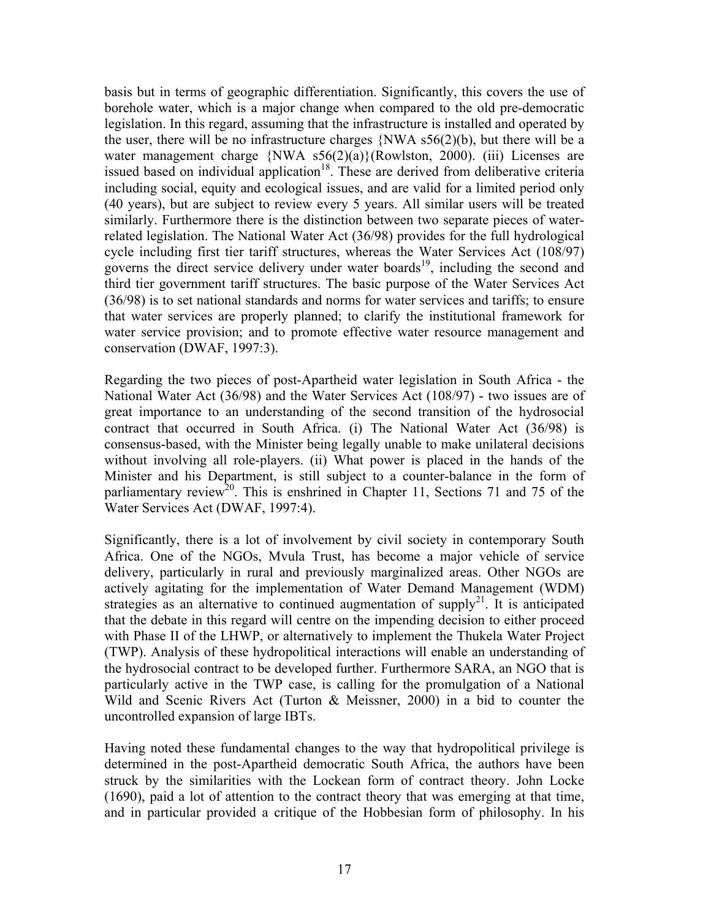basis but in terms of geographic differentiation. Significantly, this covers the use of borehole water, which is a major change when compared to the old pre-democratic legislation. In this regard, assuming that the infrastructure is installed and operated by the user, there will be no infrastructure charges  $\{NWA\ 556(2)(b)\}$ , but there will be a water management charge {NWA s56(2)(a)}(Rowlston, 2000). (iii) Licenses are issued based on individual application<sup>18</sup>. These are derived from deliberative criteria including social, equity and ecological issues, and are valid for a limited period only (40 years), but are subject to review every 5 years. All similar users will be treated similarly. Furthermore there is the distinction between two separate pieces of waterrelated legislation. The National Water Act (36/98) provides for the full hydrological cycle including first tier tariff structures, whereas the Water Services Act (108/97) governs the direct service delivery under water boards<sup>19</sup>, including the second and third tier government tariff structures. The basic purpose of the Water Services Act (36/98) is to set national standards and norms for water services and tariffs; to ensure that water services are properly planned; to clarify the institutional framework for water service provision; and to promote effective water resource management and conservation (DWAF, 1997:3).

Regarding the two pieces of post-Apartheid water legislation in South Africa - the National Water Act (36/98) and the Water Services Act (108/97) - two issues are of great importance to an understanding of the second transition of the hydrosocial contract that occurred in South Africa. (i) The National Water Act (36/98) is consensus-based, with the Minister being legally unable to make unilateral decisions without involving all role-players. (ii) What power is placed in the hands of the Minister and his Department, is still subject to a counter-balance in the form of parliamentary review<sup>20</sup>. This is enshrined in Chapter 11, Sections 71 and 75 of the Water Services Act (DWAF, 1997:4).

Significantly, there is a lot of involvement by civil society in contemporary South Africa. One of the NGOs, Mvula Trust, has become a major vehicle of service delivery, particularly in rural and previously marginalized areas. Other NGOs are actively agitating for the implementation of Water Demand Management (WDM) strategies as an alternative to continued augmentation of supply<sup>21</sup>. It is anticipated that the debate in this regard will centre on the impending decision to either proceed with Phase II of the LHWP, or alternatively to implement the Thukela Water Project (TWP). Analysis of these hydropolitical interactions will enable an understanding of the hydrosocial contract to be developed further. Furthermore SARA, an NGO that is particularly active in the TWP case, is calling for the promulgation of a National Wild and Scenic Rivers Act (Turton & Meissner, 2000) in a bid to counter the uncontrolled expansion of large IBTs.

Having noted these fundamental changes to the way that hydropolitical privilege is determined in the post-Apartheid democratic South Africa, the authors have been struck by the similarities with the Lockean form of contract theory. John Locke (1690), paid a lot of attention to the contract theory that was emerging at that time, and in particular provided a critique of the Hobbesian form of philosophy. In his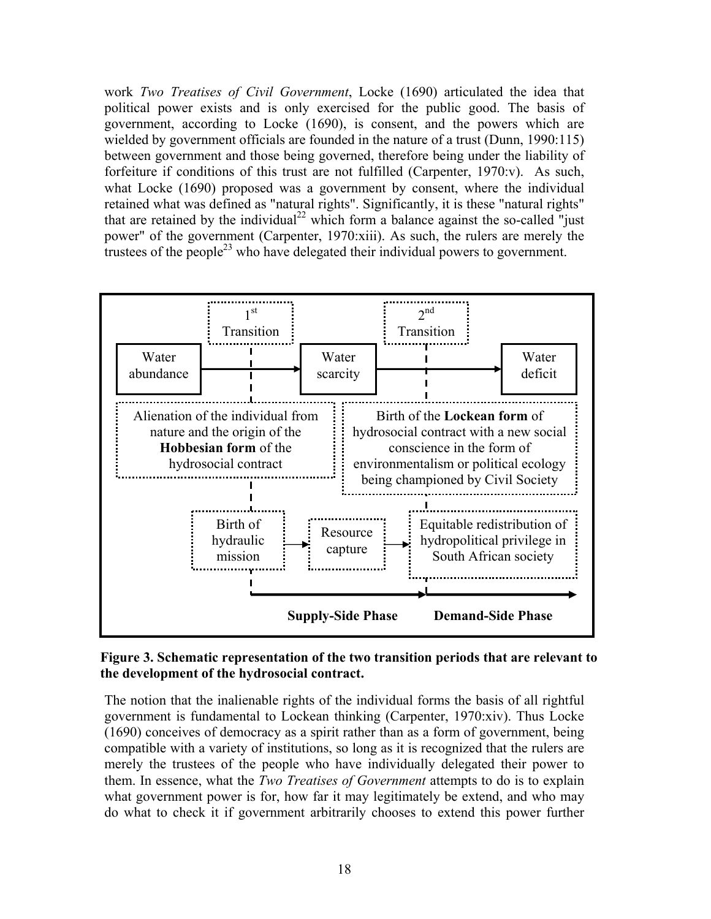work *Two Treatises of Civil Government*, Locke (1690) articulated the idea that political power exists and is only exercised for the public good. The basis of government, according to Locke (1690), is consent, and the powers which are wielded by government officials are founded in the nature of a trust (Dunn, 1990:115) between government and those being governed, therefore being under the liability of forfeiture if conditions of this trust are not fulfilled (Carpenter, 1970:v). As such, what Locke (1690) proposed was a government by consent, where the individual retained what was defined as "natural rights". Significantly, it is these "natural rights" that are retained by the individual<sup>22</sup> which form a balance against the so-called "just power" of the government (Carpenter, 1970:xiii). As such, the rulers are merely the trustees of the people<sup>23</sup> who have delegated their individual powers to government.



## **Figure 3. Schematic representation of the two transition periods that are relevant to the development of the hydrosocial contract.**

The notion that the inalienable rights of the individual forms the basis of all rightful government is fundamental to Lockean thinking (Carpenter, 1970:xiv). Thus Locke (1690) conceives of democracy as a spirit rather than as a form of government, being compatible with a variety of institutions, so long as it is recognized that the rulers are merely the trustees of the people who have individually delegated their power to them. In essence, what the *Two Treatises of Government* attempts to do is to explain what government power is for, how far it may legitimately be extend, and who may do what to check it if government arbitrarily chooses to extend this power further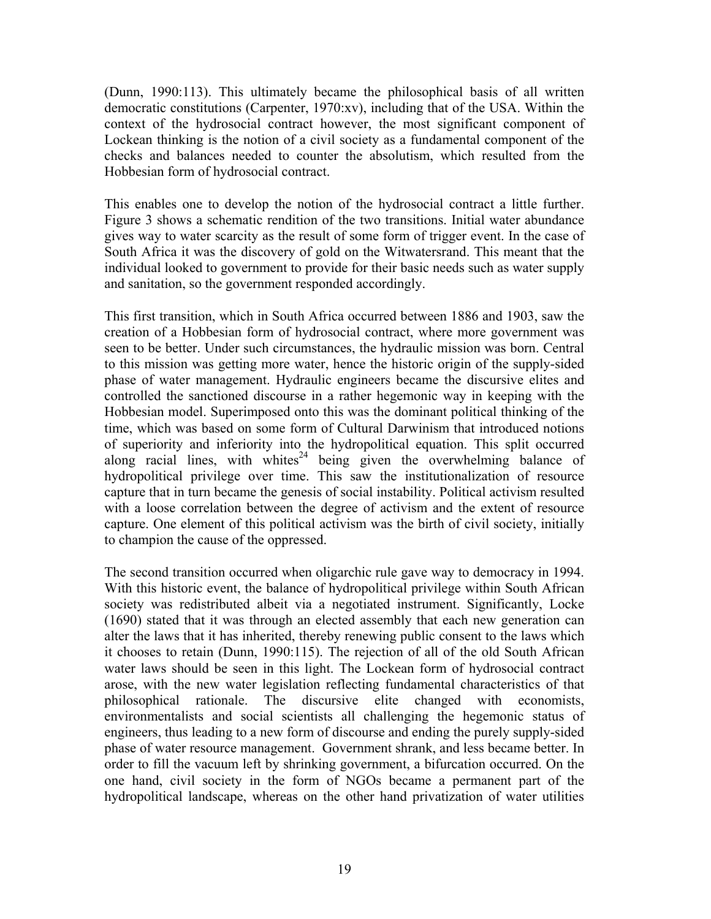(Dunn, 1990:113). This ultimately became the philosophical basis of all written democratic constitutions (Carpenter, 1970:xv), including that of the USA. Within the context of the hydrosocial contract however, the most significant component of Lockean thinking is the notion of a civil society as a fundamental component of the checks and balances needed to counter the absolutism, which resulted from the Hobbesian form of hydrosocial contract.

This enables one to develop the notion of the hydrosocial contract a little further. Figure 3 shows a schematic rendition of the two transitions. Initial water abundance gives way to water scarcity as the result of some form of trigger event. In the case of South Africa it was the discovery of gold on the Witwatersrand. This meant that the individual looked to government to provide for their basic needs such as water supply and sanitation, so the government responded accordingly.

This first transition, which in South Africa occurred between 1886 and 1903, saw the creation of a Hobbesian form of hydrosocial contract, where more government was seen to be better. Under such circumstances, the hydraulic mission was born. Central to this mission was getting more water, hence the historic origin of the supply-sided phase of water management. Hydraulic engineers became the discursive elites and controlled the sanctioned discourse in a rather hegemonic way in keeping with the Hobbesian model. Superimposed onto this was the dominant political thinking of the time, which was based on some form of Cultural Darwinism that introduced notions of superiority and inferiority into the hydropolitical equation. This split occurred along racial lines, with whites<sup>24</sup> being given the overwhelming balance of hydropolitical privilege over time. This saw the institutionalization of resource capture that in turn became the genesis of social instability. Political activism resulted with a loose correlation between the degree of activism and the extent of resource capture. One element of this political activism was the birth of civil society, initially to champion the cause of the oppressed.

The second transition occurred when oligarchic rule gave way to democracy in 1994. With this historic event, the balance of hydropolitical privilege within South African society was redistributed albeit via a negotiated instrument. Significantly, Locke (1690) stated that it was through an elected assembly that each new generation can alter the laws that it has inherited, thereby renewing public consent to the laws which it chooses to retain (Dunn, 1990:115). The rejection of all of the old South African water laws should be seen in this light. The Lockean form of hydrosocial contract arose, with the new water legislation reflecting fundamental characteristics of that philosophical rationale. The discursive elite changed with economists, environmentalists and social scientists all challenging the hegemonic status of engineers, thus leading to a new form of discourse and ending the purely supply-sided phase of water resource management. Government shrank, and less became better. In order to fill the vacuum left by shrinking government, a bifurcation occurred. On the one hand, civil society in the form of NGOs became a permanent part of the hydropolitical landscape, whereas on the other hand privatization of water utilities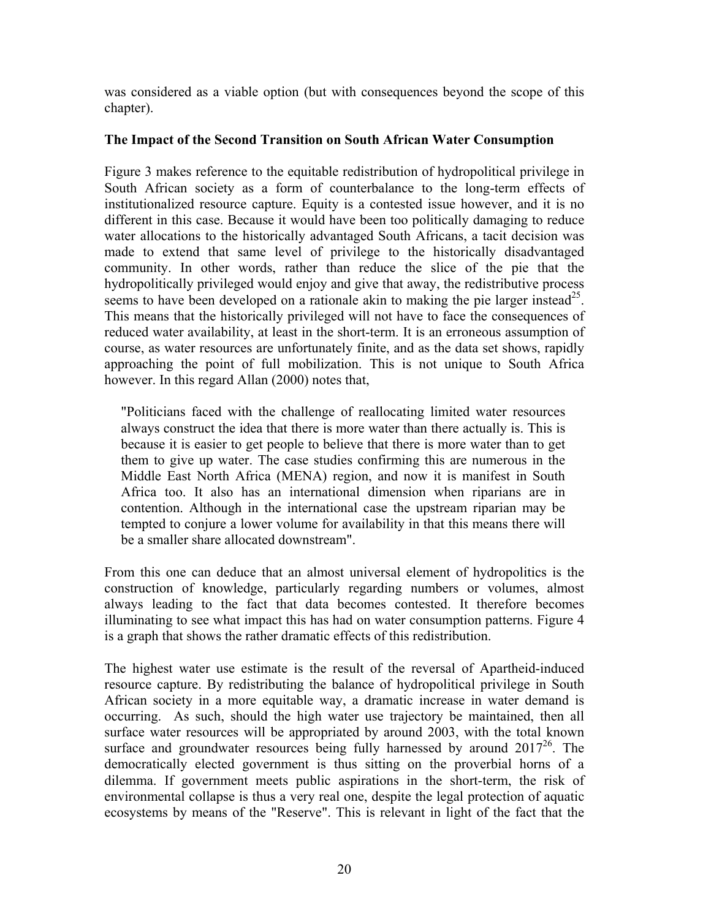was considered as a viable option (but with consequences beyond the scope of this chapter).

## **The Impact of the Second Transition on South African Water Consumption**

Figure 3 makes reference to the equitable redistribution of hydropolitical privilege in South African society as a form of counterbalance to the long-term effects of institutionalized resource capture. Equity is a contested issue however, and it is no different in this case. Because it would have been too politically damaging to reduce water allocations to the historically advantaged South Africans, a tacit decision was made to extend that same level of privilege to the historically disadvantaged community. In other words, rather than reduce the slice of the pie that the hydropolitically privileged would enjoy and give that away, the redistributive process seems to have been developed on a rationale akin to making the pie larger instead<sup>25</sup>. This means that the historically privileged will not have to face the consequences of reduced water availability, at least in the short-term. It is an erroneous assumption of course, as water resources are unfortunately finite, and as the data set shows, rapidly approaching the point of full mobilization. This is not unique to South Africa however. In this regard Allan (2000) notes that,

"Politicians faced with the challenge of reallocating limited water resources always construct the idea that there is more water than there actually is. This is because it is easier to get people to believe that there is more water than to get them to give up water. The case studies confirming this are numerous in the Middle East North Africa (MENA) region, and now it is manifest in South Africa too. It also has an international dimension when riparians are in contention. Although in the international case the upstream riparian may be tempted to conjure a lower volume for availability in that this means there will be a smaller share allocated downstream".

From this one can deduce that an almost universal element of hydropolitics is the construction of knowledge, particularly regarding numbers or volumes, almost always leading to the fact that data becomes contested. It therefore becomes illuminating to see what impact this has had on water consumption patterns. Figure 4 is a graph that shows the rather dramatic effects of this redistribution.

The highest water use estimate is the result of the reversal of Apartheid-induced resource capture. By redistributing the balance of hydropolitical privilege in South African society in a more equitable way, a dramatic increase in water demand is occurring. As such, should the high water use trajectory be maintained, then all surface water resources will be appropriated by around 2003, with the total known surface and groundwater resources being fully harnessed by around  $2017^{26}$ . The democratically elected government is thus sitting on the proverbial horns of a dilemma. If government meets public aspirations in the short-term, the risk of environmental collapse is thus a very real one, despite the legal protection of aquatic ecosystems by means of the "Reserve". This is relevant in light of the fact that the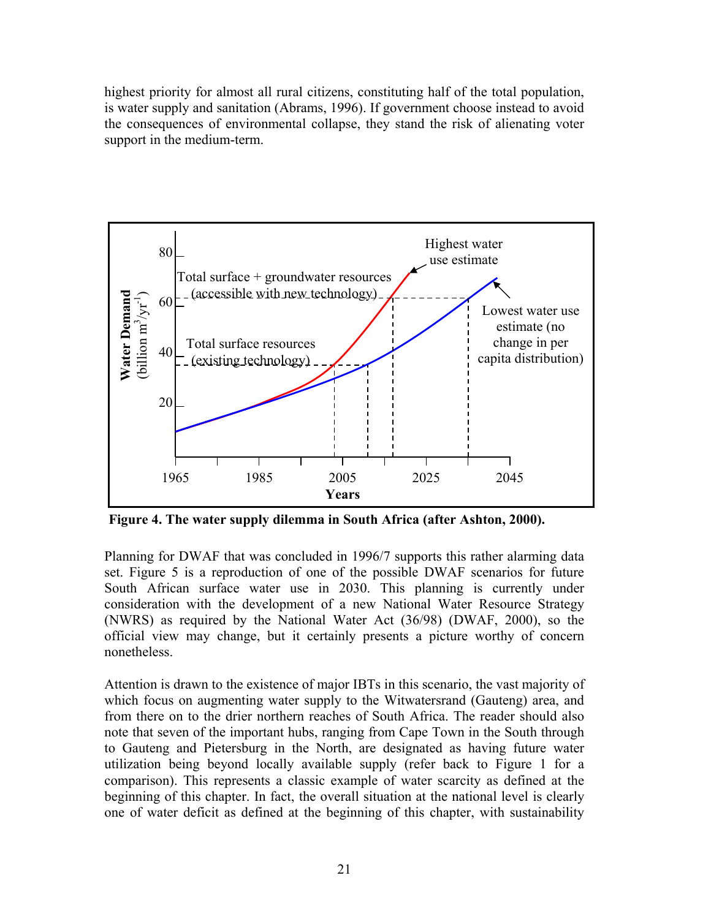highest priority for almost all rural citizens, constituting half of the total population, is water supply and sanitation (Abrams, 1996). If government choose instead to avoid the consequences of environmental collapse, they stand the risk of alienating voter support in the medium-term.



**Figure 4. The water supply dilemma in South Africa (after Ashton, 2000).** 

Planning for DWAF that was concluded in 1996/7 supports this rather alarming data set. Figure 5 is a reproduction of one of the possible DWAF scenarios for future South African surface water use in 2030. This planning is currently under consideration with the development of a new National Water Resource Strategy (NWRS) as required by the National Water Act (36/98) (DWAF, 2000), so the official view may change, but it certainly presents a picture worthy of concern nonetheless.

Attention is drawn to the existence of major IBTs in this scenario, the vast majority of which focus on augmenting water supply to the Witwatersrand (Gauteng) area, and from there on to the drier northern reaches of South Africa. The reader should also note that seven of the important hubs, ranging from Cape Town in the South through to Gauteng and Pietersburg in the North, are designated as having future water utilization being beyond locally available supply (refer back to Figure 1 for a comparison). This represents a classic example of water scarcity as defined at the beginning of this chapter. In fact, the overall situation at the national level is clearly one of water deficit as defined at the beginning of this chapter, with sustainability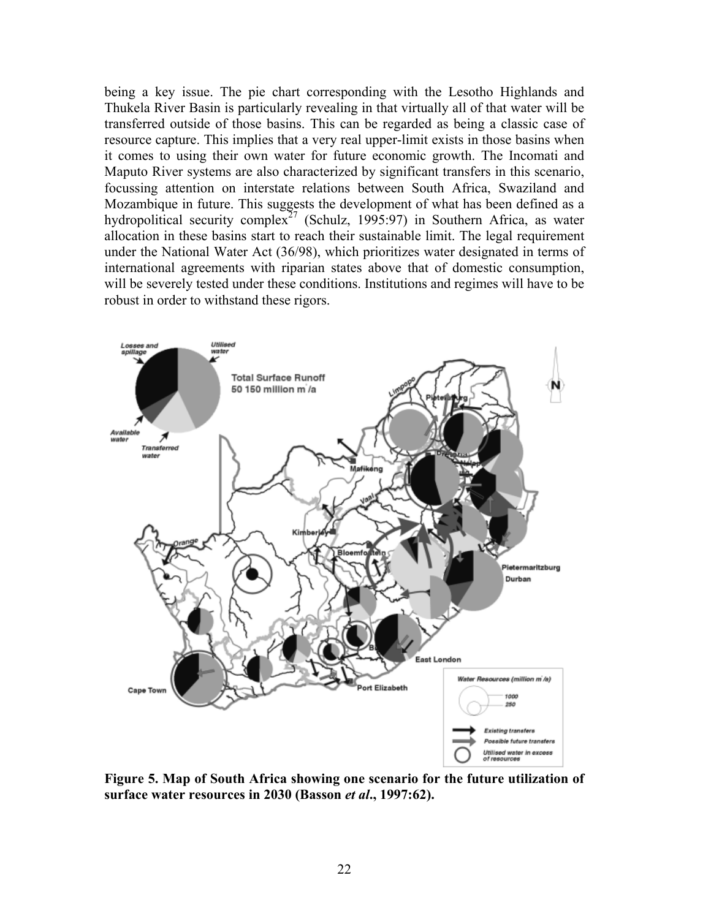being a key issue. The pie chart corresponding with the Lesotho Highlands and Thukela River Basin is particularly revealing in that virtually all of that water will be transferred outside of those basins. This can be regarded as being a classic case of resource capture. This implies that a very real upper-limit exists in those basins when it comes to using their own water for future economic growth. The Incomati and Maputo River systems are also characterized by significant transfers in this scenario, focussing attention on interstate relations between South Africa, Swaziland and Mozambique in future. This suggests the development of what has been defined as a hydropolitical security complex<sup>27</sup> (Schulz, 1995:97) in Southern Africa, as water allocation in these basins start to reach their sustainable limit. The legal requirement under the National Water Act (36/98), which prioritizes water designated in terms of international agreements with riparian states above that of domestic consumption, will be severely tested under these conditions. Institutions and regimes will have to be robust in order to withstand these rigors.



**Figure 5. Map of South Africa showing one scenario for the future utilization of surface water resources in 2030 (Basson** *et al***., 1997:62).**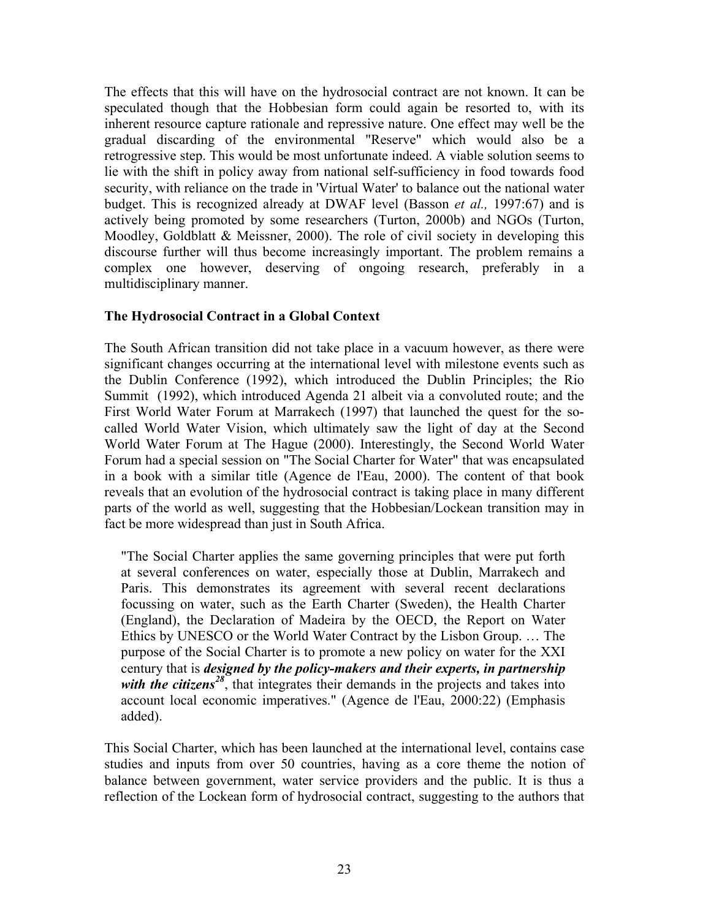The effects that this will have on the hydrosocial contract are not known. It can be speculated though that the Hobbesian form could again be resorted to, with its inherent resource capture rationale and repressive nature. One effect may well be the gradual discarding of the environmental "Reserve" which would also be a retrogressive step. This would be most unfortunate indeed. A viable solution seems to lie with the shift in policy away from national self-sufficiency in food towards food security, with reliance on the trade in 'Virtual Water' to balance out the national water budget. This is recognized already at DWAF level (Basson *et al.,* 1997:67) and is actively being promoted by some researchers (Turton, 2000b) and NGOs (Turton, Moodley, Goldblatt & Meissner, 2000). The role of civil society in developing this discourse further will thus become increasingly important. The problem remains a complex one however, deserving of ongoing research, preferably in a multidisciplinary manner.

## **The Hydrosocial Contract in a Global Context**

The South African transition did not take place in a vacuum however, as there were significant changes occurring at the international level with milestone events such as the Dublin Conference (1992), which introduced the Dublin Principles; the Rio Summit (1992), which introduced Agenda 21 albeit via a convoluted route; and the First World Water Forum at Marrakech (1997) that launched the quest for the socalled World Water Vision, which ultimately saw the light of day at the Second World Water Forum at The Hague (2000). Interestingly, the Second World Water Forum had a special session on "The Social Charter for Water" that was encapsulated in a book with a similar title (Agence de l'Eau, 2000). The content of that book reveals that an evolution of the hydrosocial contract is taking place in many different parts of the world as well, suggesting that the Hobbesian/Lockean transition may in fact be more widespread than just in South Africa.

"The Social Charter applies the same governing principles that were put forth at several conferences on water, especially those at Dublin, Marrakech and Paris. This demonstrates its agreement with several recent declarations focussing on water, such as the Earth Charter (Sweden), the Health Charter (England), the Declaration of Madeira by the OECD, the Report on Water Ethics by UNESCO or the World Water Contract by the Lisbon Group. … The purpose of the Social Charter is to promote a new policy on water for the XXI century that is *designed by the policy-makers and their experts, in partnership with the citizens*<sup>[28](#page-30-27)</sup>, that integrates their demands in the projects and takes into account local economic imperatives." (Agence de l'Eau, 2000:22) (Emphasis added).

This Social Charter, which has been launched at the international level, contains case studies and inputs from over 50 countries, having as a core theme the notion of balance between government, water service providers and the public. It is thus a reflection of the Lockean form of hydrosocial contract, suggesting to the authors that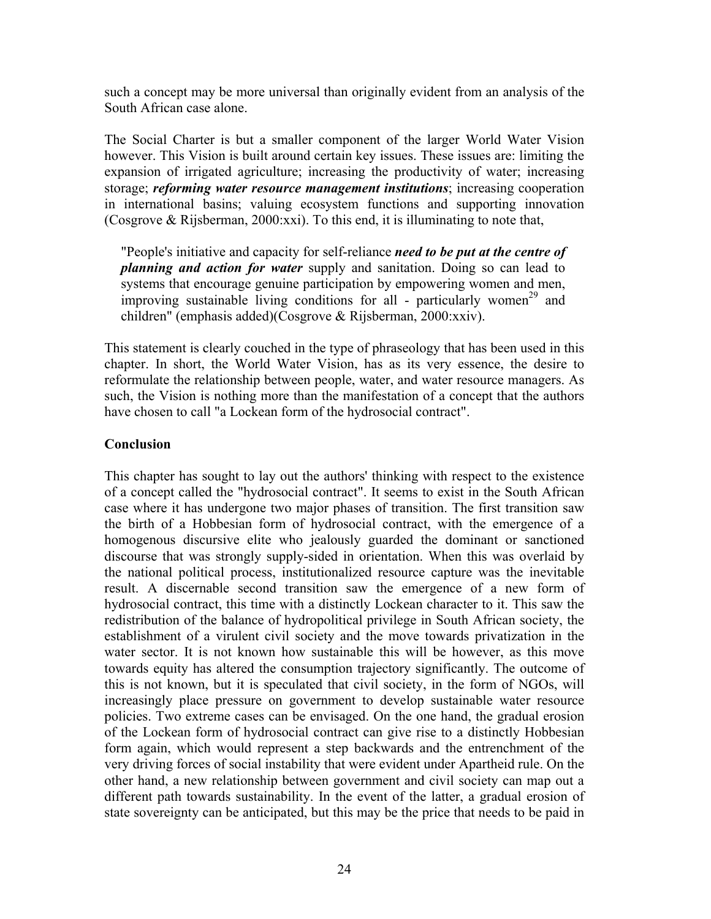such a concept may be more universal than originally evident from an analysis of the South African case alone.

The Social Charter is but a smaller component of the larger World Water Vision however. This Vision is built around certain key issues. These issues are: limiting the expansion of irrigated agriculture; increasing the productivity of water; increasing storage; *reforming water resource management institutions*; increasing cooperation in international basins; valuing ecosystem functions and supporting innovation (Cosgrove & Rijsberman, 2000:xxi). To this end, it is illuminating to note that,

"People's initiative and capacity for self-reliance *need to be put at the centre of planning and action for water* supply and sanitation. Doing so can lead to systems that encourage genuine participation by empowering women and men, improving sustainable living conditions for all - particularly women<sup>29</sup> and children" (emphasis added)(Cosgrove & Rijsberman, 2000:xxiv).

This statement is clearly couched in the type of phraseology that has been used in this chapter. In short, the World Water Vision, has as its very essence, the desire to reformulate the relationship between people, water, and water resource managers. As such, the Vision is nothing more than the manifestation of a concept that the authors have chosen to call "a Lockean form of the hydrosocial contract".

## **Conclusion**

This chapter has sought to lay out the authors' thinking with respect to the existence of a concept called the "hydrosocial contract". It seems to exist in the South African case where it has undergone two major phases of transition. The first transition saw the birth of a Hobbesian form of hydrosocial contract, with the emergence of a homogenous discursive elite who jealously guarded the dominant or sanctioned discourse that was strongly supply-sided in orientation. When this was overlaid by the national political process, institutionalized resource capture was the inevitable result. A discernable second transition saw the emergence of a new form of hydrosocial contract, this time with a distinctly Lockean character to it. This saw the redistribution of the balance of hydropolitical privilege in South African society, the establishment of a virulent civil society and the move towards privatization in the water sector. It is not known how sustainable this will be however, as this move towards equity has altered the consumption trajectory significantly. The outcome of this is not known, but it is speculated that civil society, in the form of NGOs, will increasingly place pressure on government to develop sustainable water resource policies. Two extreme cases can be envisaged. On the one hand, the gradual erosion of the Lockean form of hydrosocial contract can give rise to a distinctly Hobbesian form again, which would represent a step backwards and the entrenchment of the very driving forces of social instability that were evident under Apartheid rule. On the other hand, a new relationship between government and civil society can map out a different path towards sustainability. In the event of the latter, a gradual erosion of state sovereignty can be anticipated, but this may be the price that needs to be paid in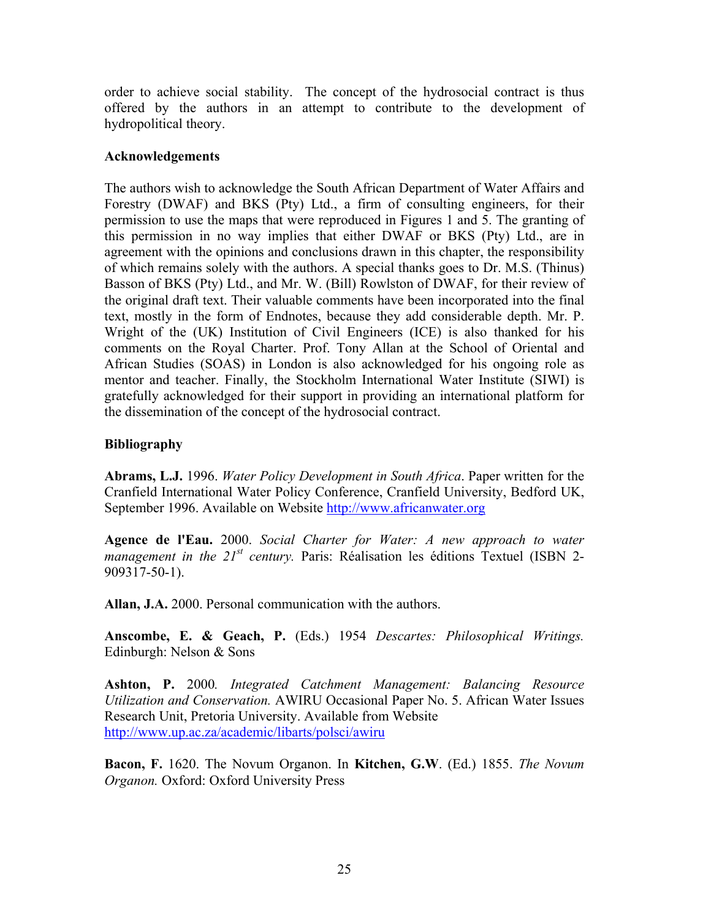order to achieve social stability. The concept of the hydrosocial contract is thus offered by the authors in an attempt to contribute to the development of hydropolitical theory.

## **Acknowledgements**

The authors wish to acknowledge the South African Department of Water Affairs and Forestry (DWAF) and BKS (Pty) Ltd., a firm of consulting engineers, for their permission to use the maps that were reproduced in Figures 1 and 5. The granting of this permission in no way implies that either DWAF or BKS (Pty) Ltd., are in agreement with the opinions and conclusions drawn in this chapter, the responsibility of which remains solely with the authors. A special thanks goes to Dr. M.S. (Thinus) Basson of BKS (Pty) Ltd., and Mr. W. (Bill) Rowlston of DWAF, for their review of the original draft text. Their valuable comments have been incorporated into the final text, mostly in the form of Endnotes, because they add considerable depth. Mr. P. Wright of the (UK) Institution of Civil Engineers (ICE) is also thanked for his comments on the Royal Charter. Prof. Tony Allan at the School of Oriental and African Studies (SOAS) in London is also acknowledged for his ongoing role as mentor and teacher. Finally, the Stockholm International Water Institute (SIWI) is gratefully acknowledged for their support in providing an international platform for the dissemination of the concept of the hydrosocial contract.

# **Bibliography**

**Abrams, L.J.** 1996. *Water Policy Development in South Africa*. Paper written for the Cranfield International Water Policy Conference, Cranfield University, Bedford UK, September 1996. Available on Website [http://www.africanwater.org](http://www.africanwater.org/)

**Agence de l'Eau.** 2000. *Social Charter for Water: A new approach to water management in the 21<sup>st</sup> century.* Paris: Réalisation les éditions Textuel (ISBN 2-909317-50-1).

**Allan, J.A.** 2000. Personal communication with the authors.

**Anscombe, E. & Geach, P.** (Eds.) 1954 *Descartes: Philosophical Writings.* Edinburgh: Nelson & Sons

**Ashton, P.** 2000*. Integrated Catchment Management: Balancing Resource Utilization and Conservation.* AWIRU Occasional Paper No. 5. African Water Issues Research Unit, Pretoria University. Available from Website <http://www.up.ac.za/academic/libarts/polsci/awiru>

**Bacon, F.** 1620. The Novum Organon. In **Kitchen, G.W**. (Ed.) 1855. *The Novum Organon.* Oxford: Oxford University Press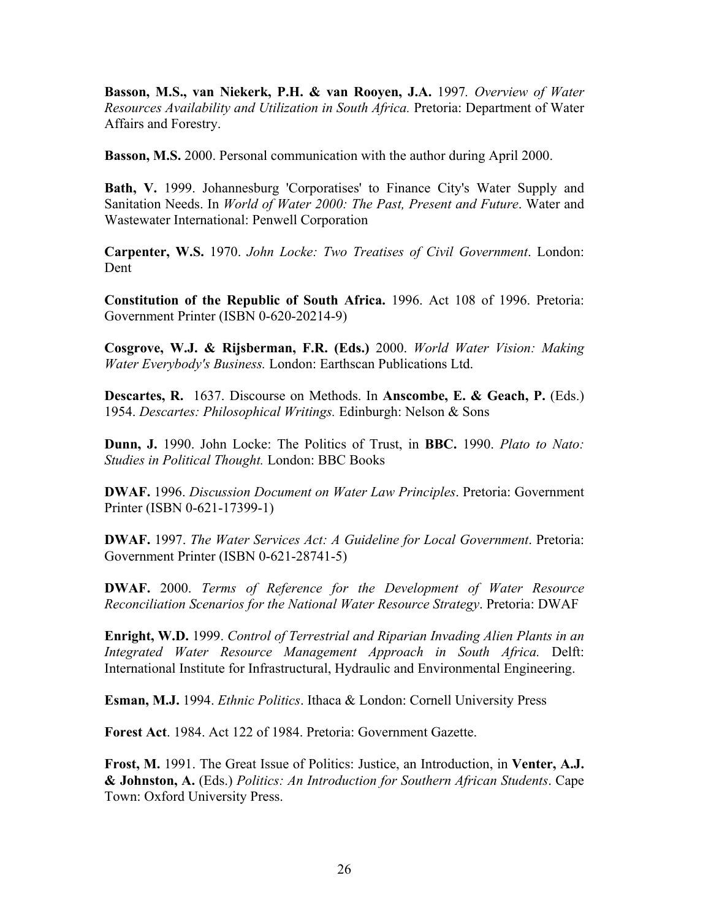**Basson, M.S., van Niekerk, P.H. & van Rooyen, J.A.** 1997*. Overview of Water Resources Availability and Utilization in South Africa.* Pretoria: Department of Water Affairs and Forestry.

**Basson, M.S.** 2000. Personal communication with the author during April 2000.

**Bath, V.** 1999. Johannesburg 'Corporatises' to Finance City's Water Supply and Sanitation Needs. In *World of Water 2000: The Past, Present and Future*. Water and Wastewater International: Penwell Corporation

**Carpenter, W.S.** 1970. *John Locke: Two Treatises of Civil Government*. London: Dent

**Constitution of the Republic of South Africa.** 1996. Act 108 of 1996. Pretoria: Government Printer (ISBN 0-620-20214-9)

**Cosgrove, W.J. & Rijsberman, F.R. (Eds.)** 2000. *World Water Vision: Making Water Everybody's Business.* London: Earthscan Publications Ltd.

**Descartes, R.** 1637. Discourse on Methods. In **Anscombe, E. & Geach, P.** (Eds.) 1954. *Descartes: Philosophical Writings.* Edinburgh: Nelson & Sons

**Dunn, J.** 1990. John Locke: The Politics of Trust, in **BBC.** 1990. *Plato to Nato: Studies in Political Thought.* London: BBC Books

**DWAF.** 1996. *Discussion Document on Water Law Principles*. Pretoria: Government Printer (ISBN 0-621-17399-1)

**DWAF.** 1997. *The Water Services Act: A Guideline for Local Government*. Pretoria: Government Printer (ISBN 0-621-28741-5)

**DWAF.** 2000. *Terms of Reference for the Development of Water Resource Reconciliation Scenarios for the National Water Resource Strategy*. Pretoria: DWAF

**Enright, W.D.** 1999. *Control of Terrestrial and Riparian Invading Alien Plants in an Integrated Water Resource Management Approach in South Africa.* Delft: International Institute for Infrastructural, Hydraulic and Environmental Engineering.

**Esman, M.J.** 1994. *Ethnic Politics*. Ithaca & London: Cornell University Press

**Forest Act**. 1984. Act 122 of 1984. Pretoria: Government Gazette.

**Frost, M.** 1991. The Great Issue of Politics: Justice, an Introduction, in **Venter, A.J. & Johnston, A.** (Eds.) *Politics: An Introduction for Southern African Students*. Cape Town: Oxford University Press.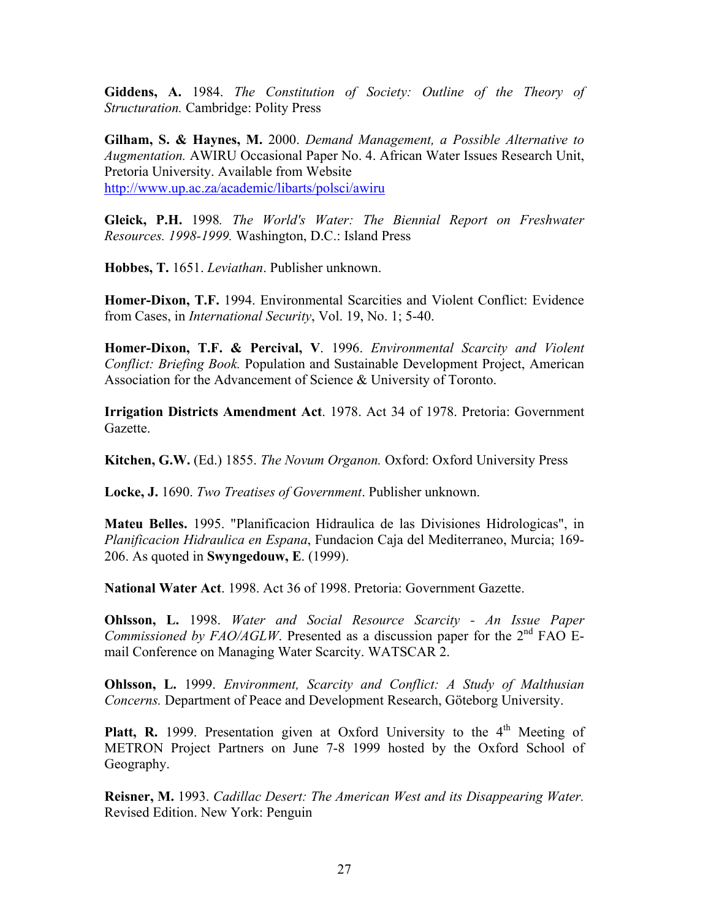**Giddens, A.** 1984. *The Constitution of Society: Outline of the Theory of Structuration.* Cambridge: Polity Press

**Gilham, S. & Haynes, M.** 2000. *Demand Management, a Possible Alternative to Augmentation.* AWIRU Occasional Paper No. 4. African Water Issues Research Unit, Pretoria University. Available from Website <http://www.up.ac.za/academic/libarts/polsci/awiru>

**Gleick, P.H.** 1998*. The World's Water: The Biennial Report on Freshwater Resources. 1998-1999.* Washington, D.C.: Island Press

**Hobbes, T.** 1651. *Leviathan*. Publisher unknown.

**Homer-Dixon, T.F.** 1994. Environmental Scarcities and Violent Conflict: Evidence from Cases, in *International Security*, Vol. 19, No. 1; 5-40.

**Homer-Dixon, T.F. & Percival, V**. 1996. *Environmental Scarcity and Violent Conflict: Briefing Book.* Population and Sustainable Development Project, American Association for the Advancement of Science & University of Toronto.

**Irrigation Districts Amendment Act**. 1978. Act 34 of 1978. Pretoria: Government Gazette.

**Kitchen, G.W.** (Ed.) 1855. *The Novum Organon.* Oxford: Oxford University Press

**Locke, J.** 1690. *Two Treatises of Government*. Publisher unknown.

**Mateu Belles.** 1995. "Planificacion Hidraulica de las Divisiones Hidrologicas", in *Planificacion Hidraulica en Espana*, Fundacion Caja del Mediterraneo, Murcia; 169- 206. As quoted in **Swyngedouw, E**. (1999).

**National Water Act**. 1998. Act 36 of 1998. Pretoria: Government Gazette.

**Ohlsson, L.** 1998. *Water and Social Resource Scarcity - An Issue Paper Commissioned by FAO/AGLW*. Presented as a discussion paper for the  $2<sup>nd</sup>$  FAO Email Conference on Managing Water Scarcity. WATSCAR 2.

**Ohlsson, L.** 1999. *Environment, Scarcity and Conflict: A Study of Malthusian Concerns.* Department of Peace and Development Research, Göteborg University.

**Platt, R.** 1999. Presentation given at Oxford University to the  $4<sup>th</sup>$  Meeting of METRON Project Partners on June 7-8 1999 hosted by the Oxford School of Geography.

**Reisner, M.** 1993. *Cadillac Desert: The American West and its Disappearing Water.* Revised Edition. New York: Penguin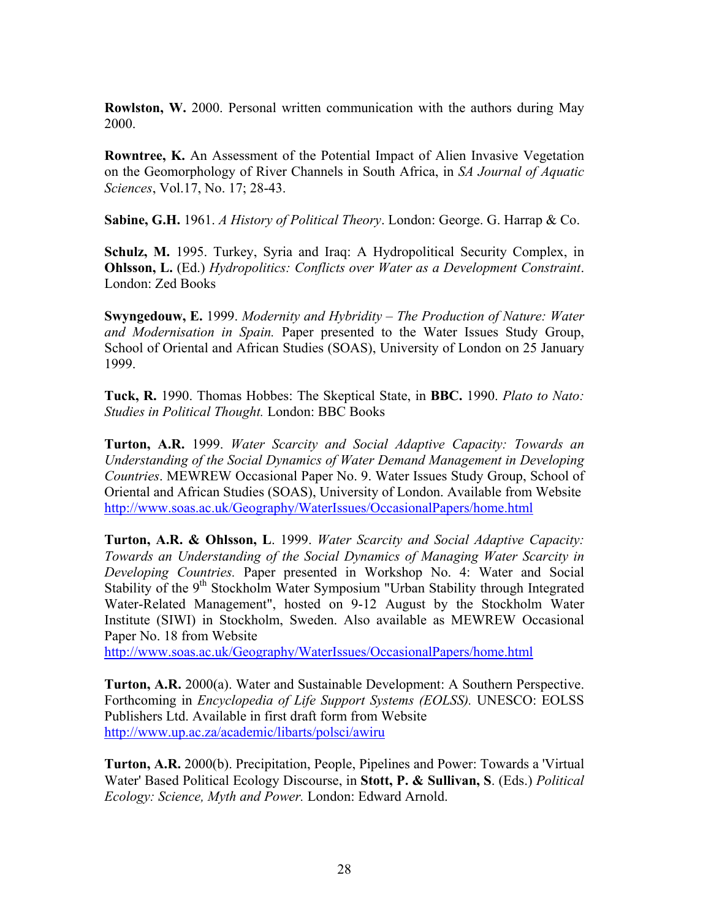**Rowlston, W.** 2000. Personal written communication with the authors during May 2000.

**Rowntree, K.** An Assessment of the Potential Impact of Alien Invasive Vegetation on the Geomorphology of River Channels in South Africa, in *SA Journal of Aquatic Sciences*, Vol.17, No. 17; 28-43.

**Sabine, G.H.** 1961. *A History of Political Theory*. London: George. G. Harrap & Co.

**Schulz, M.** 1995. Turkey, Syria and Iraq: A Hydropolitical Security Complex, in **Ohlsson, L.** (Ed.) *Hydropolitics: Conflicts over Water as a Development Constraint*. London: Zed Books

**Swyngedouw, E.** 1999. *Modernity and Hybridity – The Production of Nature: Water and Modernisation in Spain.* Paper presented to the Water Issues Study Group, School of Oriental and African Studies (SOAS), University of London on 25 January 1999.

**Tuck, R.** 1990. Thomas Hobbes: The Skeptical State, in **BBC.** 1990. *Plato to Nato: Studies in Political Thought.* London: BBC Books

**Turton, A.R.** 1999. *Water Scarcity and Social Adaptive Capacity: Towards an Understanding of the Social Dynamics of Water Demand Management in Developing Countries*. MEWREW Occasional Paper No. 9. Water Issues Study Group, School of Oriental and African Studies (SOAS), University of London. Available from Website <http://www.soas.ac.uk/Geography/WaterIssues/OccasionalPapers/home.html>

**Turton, A.R. & Ohlsson, L**. 1999. *Water Scarcity and Social Adaptive Capacity: Towards an Understanding of the Social Dynamics of Managing Water Scarcity in Developing Countries.* Paper presented in Workshop No. 4: Water and Social Stability of the 9<sup>th</sup> Stockholm Water Symposium "Urban Stability through Integrated Water-Related Management", hosted on 9-12 August by the Stockholm Water Institute (SIWI) in Stockholm, Sweden. Also available as MEWREW Occasional Paper No. 18 from Website

<http://www.soas.ac.uk/Geography/WaterIssues/OccasionalPapers/home.html>

**Turton, A.R.** 2000(a). Water and Sustainable Development: A Southern Perspective. Forthcoming in *Encyclopedia of Life Support Systems (EOLSS).* UNESCO: EOLSS Publishers Ltd. Available in first draft form from Website <http://www.up.ac.za/academic/libarts/polsci/awiru>

**Turton, A.R.** 2000(b). Precipitation, People, Pipelines and Power: Towards a 'Virtual Water' Based Political Ecology Discourse, in **Stott, P. & Sullivan, S**. (Eds.) *Political Ecology: Science, Myth and Power.* London: Edward Arnold.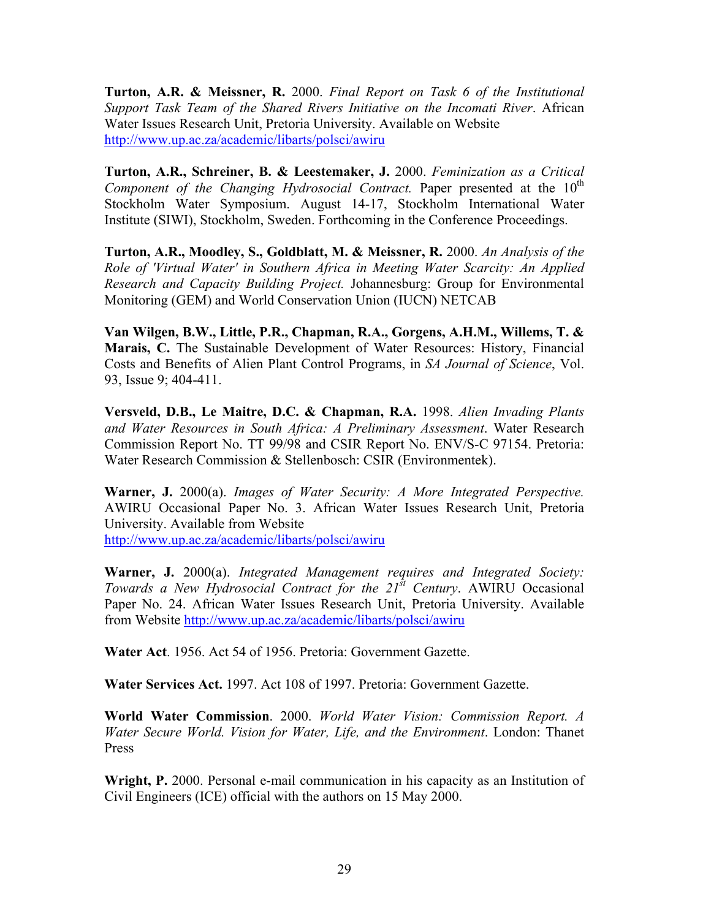**Turton, A.R. & Meissner, R.** 2000. *Final Report on Task 6 of the Institutional Support Task Team of the Shared Rivers Initiative on the Incomati River*. African Water Issues Research Unit, Pretoria University. Available on Website <http://www.up.ac.za/academic/libarts/polsci/awiru>

**Turton, A.R., Schreiner, B. & Leestemaker, J.** 2000. *Feminization as a Critical Component of the Changing Hydrosocial Contract.* Paper presented at the 10<sup>th</sup> Stockholm Water Symposium. August 14-17, Stockholm International Water Institute (SIWI), Stockholm, Sweden. Forthcoming in the Conference Proceedings.

**Turton, A.R., Moodley, S., Goldblatt, M. & Meissner, R.** 2000. *An Analysis of the Role of 'Virtual Water' in Southern Africa in Meeting Water Scarcity: An Applied Research and Capacity Building Project.* Johannesburg: Group for Environmental Monitoring (GEM) and World Conservation Union (IUCN) NETCAB

**Van Wilgen, B.W., Little, P.R., Chapman, R.A., Gorgens, A.H.M., Willems, T. & Marais, C.** The Sustainable Development of Water Resources: History, Financial Costs and Benefits of Alien Plant Control Programs, in *SA Journal of Science*, Vol. 93, Issue 9; 404-411.

**Versveld, D.B., Le Maitre, D.C. & Chapman, R.A.** 1998. *Alien Invading Plants and Water Resources in South Africa: A Preliminary Assessment*. Water Research Commission Report No. TT 99/98 and CSIR Report No. ENV/S-C 97154. Pretoria: Water Research Commission & Stellenbosch: CSIR (Environmentek).

**Warner, J.** 2000(a). *Images of Water Security: A More Integrated Perspective.* AWIRU Occasional Paper No. 3. African Water Issues Research Unit, Pretoria University. Available from Website <http://www.up.ac.za/academic/libarts/polsci/awiru>

**Warner, J.** 2000(a). *Integrated Management requires and Integrated Society: Towards a New Hydrosocial Contract for the 21st Century*. AWIRU Occasional Paper No. 24. African Water Issues Research Unit, Pretoria University. Available from Website <http://www.up.ac.za/academic/libarts/polsci/awiru>

**Water Act**. 1956. Act 54 of 1956. Pretoria: Government Gazette.

**Water Services Act.** 1997. Act 108 of 1997. Pretoria: Government Gazette.

**World Water Commission**. 2000. *World Water Vision: Commission Report. A Water Secure World. Vision for Water, Life, and the Environment*. London: Thanet Press

**Wright, P.** 2000. Personal e-mail communication in his capacity as an Institution of Civil Engineers (ICE) official with the authors on 15 May 2000.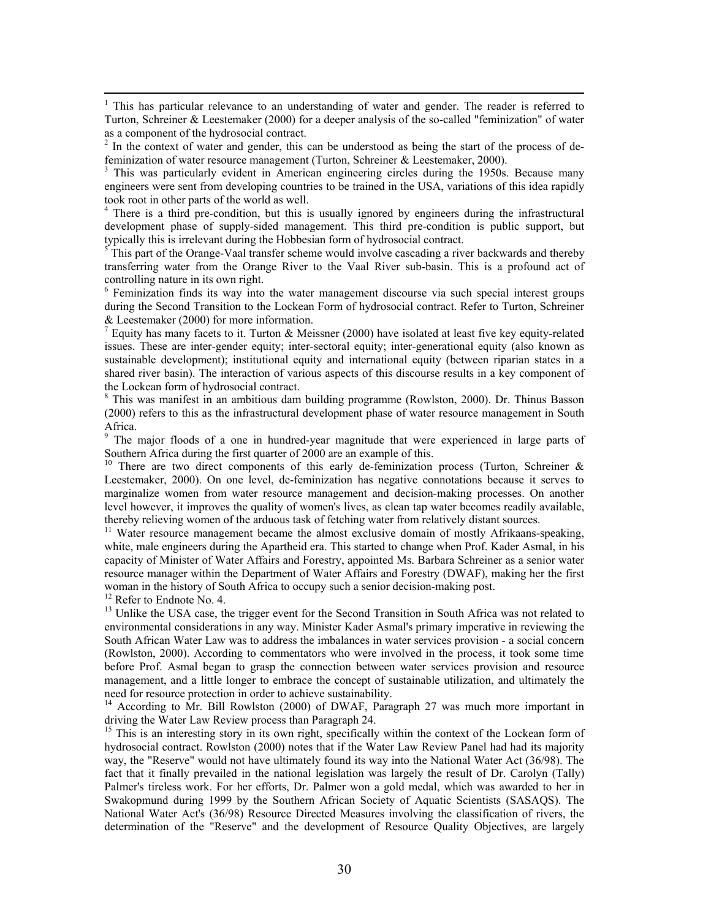$\frac{1}{1}$  $1$  This has particular relevance to an understanding of water and gender. The reader is referred to Turton, Schreiner & Leestemaker (2000) for a deeper analysis of the so-called "feminization" of water as a component of the hydrosocial contract.

 $2<sup>2</sup>$  In the context of water and gender, this can be understood as being the start of the process of defeminization of water resource management (Turton, Schreiner & Leestemaker, 2000).

<sup>3</sup> This was particularly evident in American engineering circles during the 1950s. Because many engineers were sent from developing countries to be trained in the USA, variations of this idea rapidly took root in other parts of the world as well.

<sup>4</sup> There is a third pre-condition, but this is usually ignored by engineers during the infrastructural development phase of supply-sided management. This third pre-condition is public support, but typically this is irrelevant during the Hobbesian form of hydrosocial contract.

 This part of the Orange-Vaal transfer scheme would involve cascading a river backwards and thereby transferring water from the Orange River to the Vaal River sub-basin. This is a profound act of controlling nature in its own right.

<sup>6</sup> Feminization finds its way into the water management discourse via such special interest groups during the Second Transition to the Lockean Form of hydrosocial contract. Refer to Turton, Schreiner & Leestemaker (2000) for more information.

<sup>7</sup> Equity has many facets to it. Turton & Meissner (2000) have isolated at least five key equity-related issues. These are inter-gender equity; inter-sectoral equity; inter-generational equity (also known as sustainable development); institutional equity and international equity (between riparian states in a shared river basin). The interaction of various aspects of this discourse results in a key component of the Lockean form of hydrosocial contract.

8 This was manifest in an ambitious dam building programme (Rowlston, 2000). Dr. Thinus Basson (2000) refers to this as the infrastructural development phase of water resource management in South Africa.

9  $9$  The major floods of a one in hundred-year magnitude that were experienced in large parts of Southern Africa during the first quarter of 2000 are an example of this.

<sup>10</sup> There are two direct components of this early de-feminization process (Turton, Schreiner & Leestemaker, 2000). On one level, de-feminization has negative connotations because it serves to marginalize women from water resource management and decision-making processes. On another level however, it improves the quality of women's lives, as clean tap water becomes readily available, thereby relieving women of the arduous task of fetching water from relatively distant sources.

<sup>11</sup> Water resource management became the almost exclusive domain of mostly Afrikaans-speaking, white, male engineers during the Apartheid era. This started to change when Prof. Kader Asmal, in his capacity of Minister of Water Affairs and Forestry, appointed Ms. Barbara Schreiner as a senior water resource manager within the Department of Water Affairs and Forestry (DWAF), making her the first woman in the history of South Africa to occupy such a senior decision-making post.

<sup>12</sup> Refer to Endnote No. 4.

<sup>13</sup> Unlike the USA case, the trigger event for the Second Transition in South Africa was not related to environmental considerations in any way. Minister Kader Asmal's primary imperative in reviewing the South African Water Law was to address the imbalances in water services provision - a social concern (Rowlston, 2000). According to commentators who were involved in the process, it took some time before Prof. Asmal began to grasp the connection between water services provision and resource management, and a little longer to embrace the concept of sustainable utilization, and ultimately the need for resource protection in order to achieve sustainability.

<sup>14</sup> According to Mr. Bill Rowlston (2000) of DWAF, Paragraph 27 was much more important in driving the Water Law Review process than Paragraph 24.

<sup>15</sup> This is an interesting story in its own right, specifically within the context of the Lockean form of hydrosocial contract. Rowlston (2000) notes that if the Water Law Review Panel had had its majority way, the "Reserve" would not have ultimately found its way into the National Water Act (36/98). The fact that it finally prevailed in the national legislation was largely the result of Dr. Carolyn (Tally) Palmer's tireless work. For her efforts, Dr. Palmer won a gold medal, which was awarded to her in Swakopmund during 1999 by the Southern African Society of Aquatic Scientists (SASAQS). The National Water Act's (36/98) Resource Directed Measures involving the classification of rivers, the determination of the "Reserve" and the development of Resource Quality Objectives, are largely